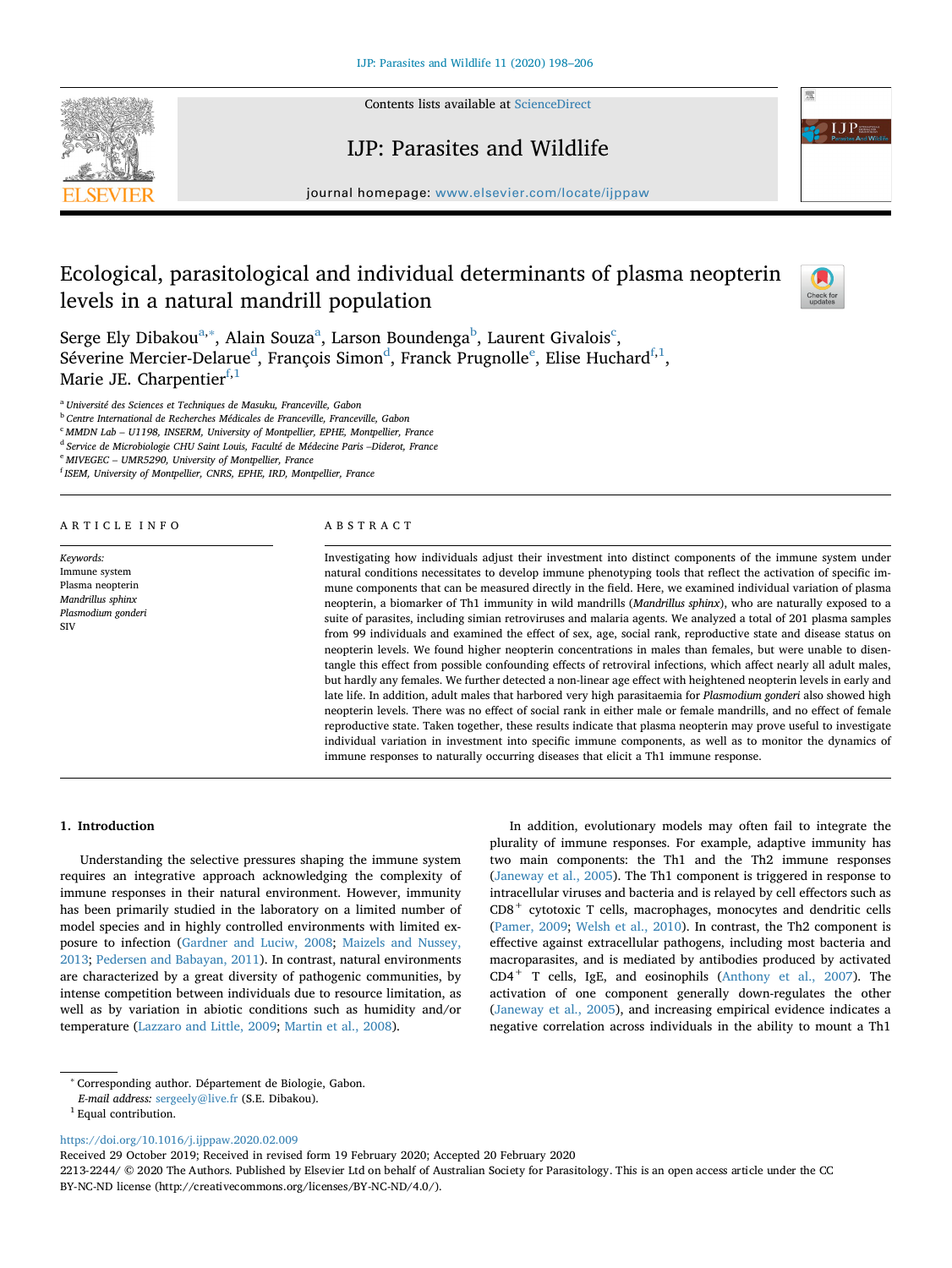

Contents lists available at [ScienceDirect](http://www.sciencedirect.com/science/journal/22132244)

# IJP: Parasites and Wildlife



journal homepage: [www.elsevier.com/locate/ijppaw](https://www.elsevier.com/locate/ijppaw)

# Ecological, parasitological and individual determinants of plasma neopterin levels in a natural mandrill population



Serge Ely Dib[a](#page-0-0)kou $^{\mathrm{a},*}$ , Alain Souza $^{\mathrm{a}}$ , Larson Boundenga $^{\mathrm{b}}$ , Laurent Givalois $^{\mathrm{c}}$  $^{\mathrm{c}}$  $^{\mathrm{c}}$ , Sév[e](#page-0-5)rine Mercier-Delarue $^{\rm d}$  $^{\rm d}$  $^{\rm d}$ , François Simon $^{\rm d}$ , Franck Prugnolle $^{\rm e}$ , Elise Huchard $^{\rm f,1}$  $^{\rm f,1}$  $^{\rm f,1}$  $^{\rm f,1}$ , Marie JE. Charpentier $f,1$  $f,1$ 

<span id="page-0-0"></span><sup>a</sup> *Université des Sciences et Techniques de Masuku, Franceville, Gabon*

<span id="page-0-2"></span><sup>b</sup> *Centre International de Recherches Médicales de Franceville, Franceville, Gabon*

<span id="page-0-3"></span><sup>c</sup> *MMDN Lab – U1198, INSERM, University of Montpellier, EPHE, Montpellier, France*

<span id="page-0-4"></span><sup>d</sup> *Service de Microbiologie CHU Saint Louis, Faculté de Médecine Paris –Diderot, France*

<span id="page-0-5"></span><sup>e</sup> *MIVEGEC – UMR5290, University of Montpellier, France*

<span id="page-0-6"></span>f *ISEM, University of Montpellier, CNRS, EPHE, IRD, Montpellier, France*

# ARTICLE INFO

*Keywords:* Immune system Plasma neopterin *Mandrillus sphinx Plasmodium gonderi* SIV

# ABSTRACT

Investigating how individuals adjust their investment into distinct components of the immune system under natural conditions necessitates to develop immune phenotyping tools that reflect the activation of specific immune components that can be measured directly in the field. Here, we examined individual variation of plasma neopterin, a biomarker of Th1 immunity in wild mandrills (*Mandrillus sphinx*), who are naturally exposed to a suite of parasites, including simian retroviruses and malaria agents. We analyzed a total of 201 plasma samples from 99 individuals and examined the effect of sex, age, social rank, reproductive state and disease status on neopterin levels. We found higher neopterin concentrations in males than females, but were unable to disentangle this effect from possible confounding effects of retroviral infections, which affect nearly all adult males, but hardly any females. We further detected a non-linear age effect with heightened neopterin levels in early and late life. In addition, adult males that harbored very high parasitaemia for *Plasmodium gonderi* also showed high neopterin levels. There was no effect of social rank in either male or female mandrills, and no effect of female reproductive state. Taken together, these results indicate that plasma neopterin may prove useful to investigate individual variation in investment into specific immune components, as well as to monitor the dynamics of immune responses to naturally occurring diseases that elicit a Th1 immune response.

# **1. Introduction**

Understanding the selective pressures shaping the immune system requires an integrative approach acknowledging the complexity of immune responses in their natural environment. However, immunity has been primarily studied in the laboratory on a limited number of model species and in highly controlled environments with limited exposure to infection ([Gardner and Luciw, 2008](#page-7-0); [Maizels and Nussey,](#page-7-1) [2013;](#page-7-1) [Pedersen and Babayan, 2011\)](#page-7-2). In contrast, natural environments are characterized by a great diversity of pathogenic communities, by intense competition between individuals due to resource limitation, as well as by variation in abiotic conditions such as humidity and/or temperature [\(Lazzaro and Little, 2009](#page-7-3); [Martin et al., 2008](#page-7-4)).

In addition, evolutionary models may often fail to integrate the plurality of immune responses. For example, adaptive immunity has two main components: the Th1 and the Th2 immune responses ([Janeway et al., 2005\)](#page-7-5). The Th1 component is triggered in response to intracellular viruses and bacteria and is relayed by cell effectors such as CD8+ cytotoxic T cells, macrophages, monocytes and dendritic cells ([Pamer, 2009](#page-7-6); [Welsh et al., 2010\)](#page-7-7). In contrast, the Th2 component is effective against extracellular pathogens, including most bacteria and macroparasites, and is mediated by antibodies produced by activated  $CD4<sup>+</sup>$  T cells, IgE, and eosinophils ([Anthony et al., 2007\)](#page-6-0). The activation of one component generally down-regulates the other ([Janeway et al., 2005](#page-7-5)), and increasing empirical evidence indicates a negative correlation across individuals in the ability to mount a Th1

<https://doi.org/10.1016/j.ijppaw.2020.02.009>

Received 29 October 2019; Received in revised form 19 February 2020; Accepted 20 February 2020

2213-2244/ © 2020 The Authors. Published by Elsevier Ltd on behalf of Australian Society for Parasitology. This is an open access article under the CC BY-NC-ND license (http://creativecommons.org/licenses/BY-NC-ND/4.0/).

<span id="page-0-1"></span><sup>∗</sup> Corresponding author. Département de Biologie, Gabon.

*E-mail address:* [sergeely@live.fr](mailto:sergeely@live.fr) (S.E. Dibakou).

<span id="page-0-7"></span> $^{\rm 1}$  Equal contribution.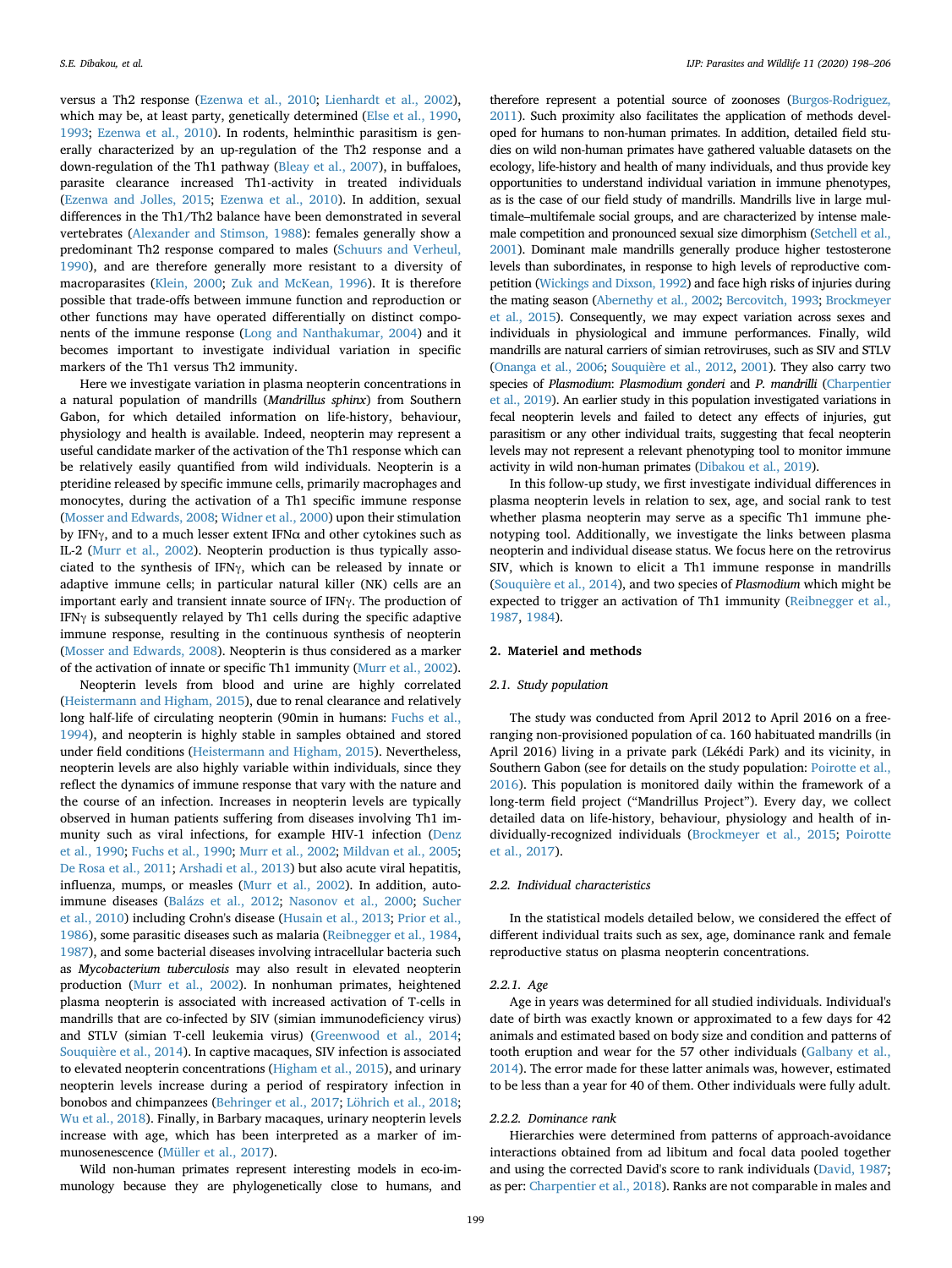versus a Th2 response [\(Ezenwa et al., 2010;](#page-6-1) [Lienhardt et al., 2002](#page-7-8)), which may be, at least party, genetically determined ([Else et al., 1990](#page-6-2), [1993;](#page-6-3) [Ezenwa et al., 2010](#page-6-1)). In rodents, helminthic parasitism is generally characterized by an up-regulation of the Th2 response and a down-regulation of the Th1 pathway [\(Bleay et al., 2007](#page-6-4)), in buffaloes, parasite clearance increased Th1-activity in treated individuals ([Ezenwa and Jolles, 2015;](#page-6-5) [Ezenwa et al., 2010](#page-6-1)). In addition, sexual differences in the Th1/Th2 balance have been demonstrated in several vertebrates ([Alexander and Stimson, 1988](#page-6-6)): females generally show a predominant Th2 response compared to males ([Schuurs and Verheul,](#page-7-9) [1990\)](#page-7-9), and are therefore generally more resistant to a diversity of macroparasites [\(Klein, 2000](#page-7-10); [Zuk and McKean, 1996\)](#page-8-0). It is therefore possible that trade-offs between immune function and reproduction or other functions may have operated differentially on distinct components of the immune response ([Long and Nanthakumar, 2004](#page-7-11)) and it becomes important to investigate individual variation in specific markers of the Th1 versus Th2 immunity.

Here we investigate variation in plasma neopterin concentrations in a natural population of mandrills (*Mandrillus sphinx*) from Southern Gabon, for which detailed information on life-history, behaviour, physiology and health is available. Indeed, neopterin may represent a useful candidate marker of the activation of the Th1 response which can be relatively easily quantified from wild individuals. Neopterin is a pteridine released by specific immune cells, primarily macrophages and monocytes, during the activation of a Th1 specific immune response ([Mosser and Edwards, 2008](#page-7-12); [Widner et al., 2000](#page-8-1)) upon their stimulation by IFN $\gamma$ , and to a much lesser extent IFN $\alpha$  and other cytokines such as IL-2 ([Murr et al., 2002](#page-7-13)). Neopterin production is thus typically associated to the synthesis of IFNγ, which can be released by innate or adaptive immune cells; in particular natural killer (NK) cells are an important early and transient innate source of IFNγ. The production of IFN $\gamma$  is subsequently relayed by Th1 cells during the specific adaptive immune response, resulting in the continuous synthesis of neopterin ([Mosser and Edwards, 2008](#page-7-12)). Neopterin is thus considered as a marker of the activation of innate or specific Th1 immunity ([Murr et al., 2002](#page-7-13)).

Neopterin levels from blood and urine are highly correlated ([Heistermann and Higham, 2015](#page-7-14)), due to renal clearance and relatively long half-life of circulating neopterin (90min in humans: [Fuchs et al.,](#page-7-15) [1994\)](#page-7-15), and neopterin is highly stable in samples obtained and stored under field conditions ([Heistermann and Higham, 2015](#page-7-14)). Nevertheless, neopterin levels are also highly variable within individuals, since they reflect the dynamics of immune response that vary with the nature and the course of an infection. Increases in neopterin levels are typically observed in human patients suffering from diseases involving Th1 immunity such as viral infections, for example HIV-1 infection [\(Denz](#page-6-7) [et al., 1990;](#page-6-7) [Fuchs et al., 1990](#page-6-8); [Murr et al., 2002](#page-7-13); [Mildvan et al., 2005](#page-7-16); [De Rosa et al., 2011;](#page-6-9) [Arshadi et al., 2013](#page-6-10)) but also acute viral hepatitis, influenza, mumps, or measles [\(Murr et al., 2002\)](#page-7-13). In addition, autoimmune diseases ([Balázs et al., 2012;](#page-6-11) [Nasonov et al., 2000;](#page-7-17) [Sucher](#page-7-18) [et al., 2010\)](#page-7-18) including Crohn's disease [\(Husain et al., 2013](#page-7-19); [Prior et al.,](#page-7-20) [1986\)](#page-7-20), some parasitic diseases such as malaria ([Reibnegger et al., 1984](#page-7-21), [1987\)](#page-7-22), and some bacterial diseases involving intracellular bacteria such as *Mycobacterium tuberculosis* may also result in elevated neopterin production ([Murr et al., 2002](#page-7-13)). In nonhuman primates, heightened plasma neopterin is associated with increased activation of T-cells in mandrills that are co-infected by SIV (simian immunodeficiency virus) and STLV (simian T-cell leukemia virus) [\(Greenwood et al., 2014](#page-7-23); [Souquière et al., 2014\)](#page-7-24). In captive macaques, SIV infection is associated to elevated neopterin concentrations ([Higham et al., 2015](#page-7-25)), and urinary neopterin levels increase during a period of respiratory infection in bonobos and chimpanzees [\(Behringer et al., 2017](#page-6-12); [Löhrich et al., 2018](#page-7-26); [Wu et al., 2018](#page-8-2)). Finally, in Barbary macaques, urinary neopterin levels increase with age, which has been interpreted as a marker of immunosenescence ([Müller et al., 2017\)](#page-7-27).

Wild non-human primates represent interesting models in eco-immunology because they are phylogenetically close to humans, and

therefore represent a potential source of zoonoses [\(Burgos-Rodriguez,](#page-6-13) [2011\)](#page-6-13). Such proximity also facilitates the application of methods developed for humans to non-human primates. In addition, detailed field studies on wild non-human primates have gathered valuable datasets on the ecology, life-history and health of many individuals, and thus provide key opportunities to understand individual variation in immune phenotypes, as is the case of our field study of mandrills. Mandrills live in large multimale–multifemale social groups, and are characterized by intense malemale competition and pronounced sexual size dimorphism [\(Setchell et al.,](#page-7-28) [2001\)](#page-7-28). Dominant male mandrills generally produce higher testosterone levels than subordinates, in response to high levels of reproductive competition ([Wickings and Dixson, 1992\)](#page-8-3) and face high risks of injuries during the mating season [\(Abernethy et al., 2002](#page-6-14); [Bercovitch, 1993](#page-6-15); [Brockmeyer](#page-6-16) [et al., 2015\)](#page-6-16). Consequently, we may expect variation across sexes and individuals in physiological and immune performances. Finally, wild mandrills are natural carriers of simian retroviruses, such as SIV and STLV [\(Onanga et al., 2006;](#page-7-29) [Souquière et al., 2012,](#page-7-30) [2001\)](#page-7-31). They also carry two species of *Plasmodium*: *Plasmodium gonderi* and *P. mandrilli* [\(Charpentier](#page-6-17) [et al., 2019](#page-6-17)). An earlier study in this population investigated variations in fecal neopterin levels and failed to detect any effects of injuries, gut parasitism or any other individual traits, suggesting that fecal neopterin levels may not represent a relevant phenotyping tool to monitor immune activity in wild non-human primates ([Dibakou et al., 2019\)](#page-6-18).

In this follow-up study, we first investigate individual differences in plasma neopterin levels in relation to sex, age, and social rank to test whether plasma neopterin may serve as a specific Th1 immune phenotyping tool. Additionally, we investigate the links between plasma neopterin and individual disease status. We focus here on the retrovirus SIV, which is known to elicit a Th1 immune response in mandrills ([Souquière et al., 2014\)](#page-7-24), and two species of *Plasmodium* which might be expected to trigger an activation of Th1 immunity [\(Reibnegger et al.,](#page-7-22) [1987,](#page-7-22) [1984](#page-7-21)).

# **2. Materiel and methods**

# *2.1. Study population*

The study was conducted from April 2012 to April 2016 on a freeranging non-provisioned population of ca. 160 habituated mandrills (in April 2016) living in a private park (Lékédi Park) and its vicinity, in Southern Gabon (see for details on the study population: [Poirotte et al.,](#page-7-32) [2016\)](#page-7-32). This population is monitored daily within the framework of a long-term field project ("Mandrillus Project"). Every day, we collect detailed data on life-history, behaviour, physiology and health of individually-recognized individuals [\(Brockmeyer et al., 2015](#page-6-16); [Poirotte](#page-7-33) [et al., 2017](#page-7-33)).

# *2.2. Individual characteristics*

In the statistical models detailed below, we considered the effect of different individual traits such as sex, age, dominance rank and female reproductive status on plasma neopterin concentrations.

# *2.2.1. Age*

Age in years was determined for all studied individuals. Individual's date of birth was exactly known or approximated to a few days for 42 animals and estimated based on body size and condition and patterns of tooth eruption and wear for the 57 other individuals ([Galbany et al.,](#page-7-34) [2014\)](#page-7-34). The error made for these latter animals was, however, estimated to be less than a year for 40 of them. Other individuals were fully adult.

#### *2.2.2. Dominance rank*

Hierarchies were determined from patterns of approach-avoidance interactions obtained from ad libitum and focal data pooled together and using the corrected David's score to rank individuals [\(David, 1987](#page-6-19); as per: [Charpentier et al., 2018](#page-6-20)). Ranks are not comparable in males and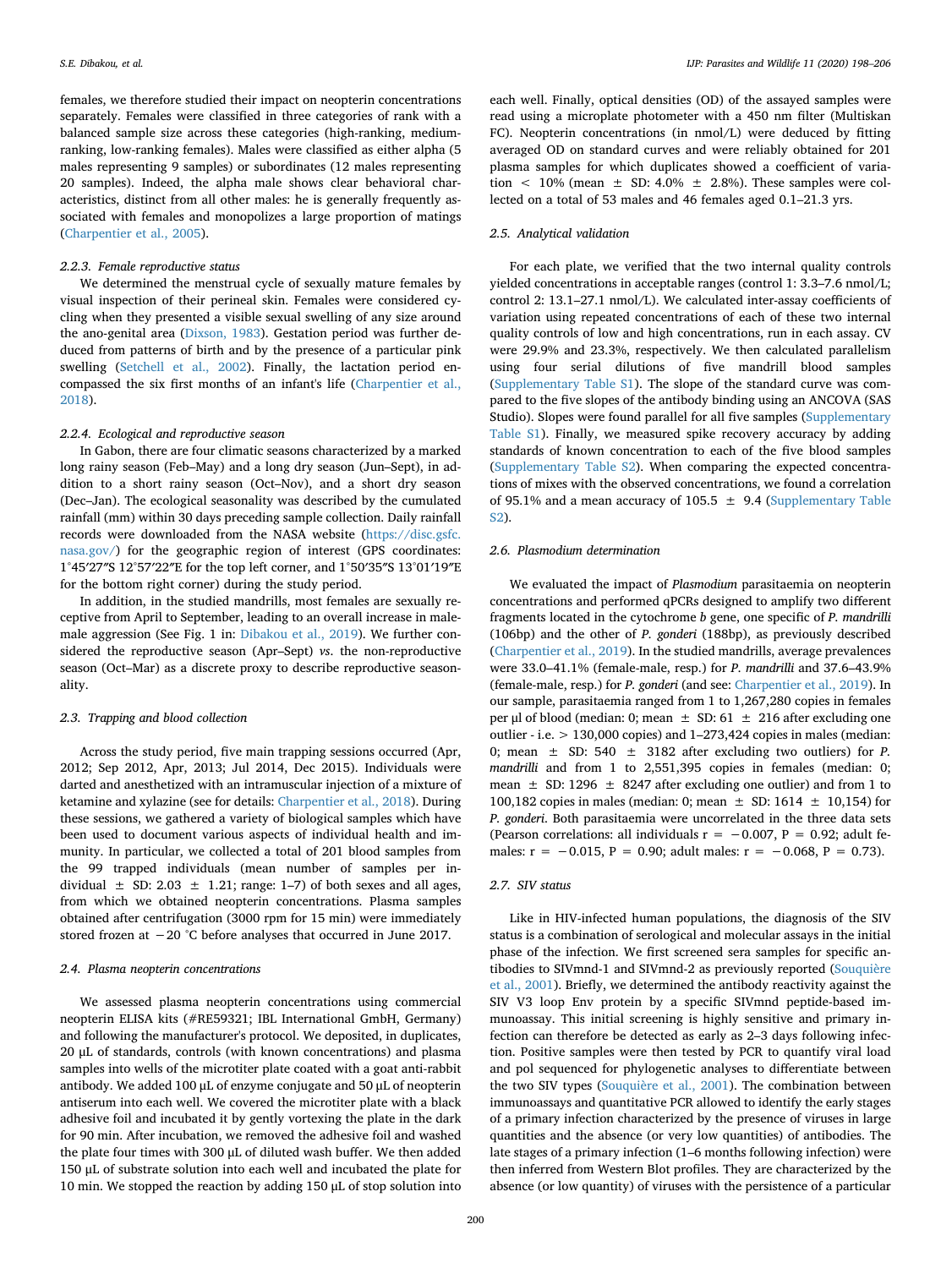females, we therefore studied their impact on neopterin concentrations separately. Females were classified in three categories of rank with a balanced sample size across these categories (high-ranking, mediumranking, low-ranking females). Males were classified as either alpha (5 males representing 9 samples) or subordinates (12 males representing 20 samples). Indeed, the alpha male shows clear behavioral characteristics, distinct from all other males: he is generally frequently associated with females and monopolizes a large proportion of matings ([Charpentier et al., 2005\)](#page-6-21).

# *2.2.3. Female reproductive status*

We determined the menstrual cycle of sexually mature females by visual inspection of their perineal skin. Females were considered cycling when they presented a visible sexual swelling of any size around the ano-genital area ([Dixson, 1983](#page-6-22)). Gestation period was further deduced from patterns of birth and by the presence of a particular pink swelling [\(Setchell et al., 2002](#page-7-35)). Finally, the lactation period encompassed the six first months of an infant's life ([Charpentier et al.,](#page-6-20) [2018\)](#page-6-20).

#### *2.2.4. Ecological and reproductive season*

In Gabon, there are four climatic seasons characterized by a marked long rainy season (Feb–May) and a long dry season (Jun–Sept), in addition to a short rainy season (Oct–Nov), and a short dry season (Dec–Jan). The ecological seasonality was described by the cumulated rainfall (mm) within 30 days preceding sample collection. Daily rainfall records were downloaded from the NASA website [\(https://disc.gsfc.](https://disc.gsfc.nasa.gov/) [nasa.gov/](https://disc.gsfc.nasa.gov/)) for the geographic region of interest (GPS coordinates: 1°45′27″S 12°57′22″E for the top left corner, and 1°50′35″S 13°01′19″E for the bottom right corner) during the study period.

In addition, in the studied mandrills, most females are sexually receptive from April to September, leading to an overall increase in malemale aggression (See Fig. 1 in: [Dibakou et al., 2019\)](#page-6-18). We further considered the reproductive season (Apr–Sept) *vs*. the non-reproductive season (Oct–Mar) as a discrete proxy to describe reproductive seasonality.

# *2.3. Trapping and blood collection*

Across the study period, five main trapping sessions occurred (Apr, 2012; Sep 2012, Apr, 2013; Jul 2014, Dec 2015). Individuals were darted and anesthetized with an intramuscular injection of a mixture of ketamine and xylazine (see for details: [Charpentier et al., 2018](#page-6-20)). During these sessions, we gathered a variety of biological samples which have been used to document various aspects of individual health and immunity. In particular, we collected a total of 201 blood samples from the 99 trapped individuals (mean number of samples per individual  $\pm$  SD: 2.03  $\pm$  1.21; range: 1–7) of both sexes and all ages, from which we obtained neopterin concentrations. Plasma samples obtained after centrifugation (3000 rpm for 15 min) were immediately stored frozen at −20 °C before analyses that occurred in June 2017.

# *2.4. Plasma neopterin concentrations*

We assessed plasma neopterin concentrations using commercial neopterin ELISA kits (#RE59321; IBL International GmbH, Germany) and following the manufacturer's protocol. We deposited, in duplicates, 20 μL of standards, controls (with known concentrations) and plasma samples into wells of the microtiter plate coated with a goat anti-rabbit antibody. We added 100 μL of enzyme conjugate and 50 μL of neopterin antiserum into each well. We covered the microtiter plate with a black adhesive foil and incubated it by gently vortexing the plate in the dark for 90 min. After incubation, we removed the adhesive foil and washed the plate four times with 300 μL of diluted wash buffer. We then added 150 μL of substrate solution into each well and incubated the plate for 10 min. We stopped the reaction by adding 150 μL of stop solution into

each well. Finally, optical densities (OD) of the assayed samples were read using a microplate photometer with a 450 nm filter (Multiskan FC). Neopterin concentrations (in nmol/L) were deduced by fitting averaged OD on standard curves and were reliably obtained for 201 plasma samples for which duplicates showed a coefficient of variation  $\langle 10\%$  (mean  $\pm$  SD: 4.0%  $\pm$  2.8%). These samples were collected on a total of 53 males and 46 females aged 0.1–21.3 yrs.

# *2.5. Analytical validation*

For each plate, we verified that the two internal quality controls yielded concentrations in acceptable ranges (control 1: 3.3–7.6 nmol/L; control 2: 13.1–27.1 nmol/L). We calculated inter-assay coefficients of variation using repeated concentrations of each of these two internal quality controls of low and high concentrations, run in each assay. CV were 29.9% and 23.3%, respectively. We then calculated parallelism using four serial dilutions of five mandrill blood samples (Supplementary Table S1). The slope of the standard curve was compared to the five slopes of the antibody binding using an ANCOVA (SAS Studio). Slopes were found parallel for all five samples (Supplementary Table S1). Finally, we measured spike recovery accuracy by adding standards of known concentration to each of the five blood samples (Supplementary Table S2). When comparing the expected concentrations of mixes with the observed concentrations, we found a correlation of 95.1% and a mean accuracy of 105.5  $\pm$  9.4 (Supplementary Table S2).

#### *2.6. Plasmodium determination*

We evaluated the impact of *Plasmodium* parasitaemia on neopterin concentrations and performed qPCRs designed to amplify two different fragments located in the cytochrome *b* gene, one specific of *P. mandrilli* (106bp) and the other of *P. gonderi* (188bp), as previously described ([Charpentier et al., 2019\)](#page-6-17). In the studied mandrills, average prevalences were 33.0–41.1% (female-male, resp.) for *P. mandrilli* and 37.6–43.9% (female-male, resp.) for *P. gonderi* (and see: [Charpentier et al., 2019](#page-6-17)). In our sample, parasitaemia ranged from 1 to 1,267,280 copies in females per μl of blood (median: 0; mean  $\pm$  SD: 61  $\pm$  216 after excluding one outlier - i.e. > 130,000 copies) and 1–273,424 copies in males (median: 0; mean ± SD: 540 ± 3182 after excluding two outliers) for *P. mandrilli* and from 1 to 2,551,395 copies in females (median: 0; mean  $\pm$  SD: 1296  $\pm$  8247 after excluding one outlier) and from 1 to 100,182 copies in males (median: 0; mean  $\pm$  SD: 1614  $\pm$  10,154) for *P. gonderi*. Both parasitaemia were uncorrelated in the three data sets (Pearson correlations: all individuals  $r = -0.007$ ,  $P = 0.92$ ; adult females:  $r = -0.015$ ,  $P = 0.90$ ; adult males:  $r = -0.068$ ,  $P = 0.73$ ).

#### *2.7. SIV status*

Like in HIV-infected human populations, the diagnosis of the SIV status is a combination of serological and molecular assays in the initial phase of the infection. We first screened sera samples for specific antibodies to SIVmnd-1 and SIVmnd-2 as previously reported [\(Souquière](#page-7-31) [et al., 2001](#page-7-31)). Briefly, we determined the antibody reactivity against the SIV V3 loop Env protein by a specific SIVmnd peptide-based immunoassay. This initial screening is highly sensitive and primary infection can therefore be detected as early as 2–3 days following infection. Positive samples were then tested by PCR to quantify viral load and pol sequenced for phylogenetic analyses to differentiate between the two SIV types ([Souquière et al., 2001](#page-7-31)). The combination between immunoassays and quantitative PCR allowed to identify the early stages of a primary infection characterized by the presence of viruses in large quantities and the absence (or very low quantities) of antibodies. The late stages of a primary infection (1–6 months following infection) were then inferred from Western Blot profiles. They are characterized by the absence (or low quantity) of viruses with the persistence of a particular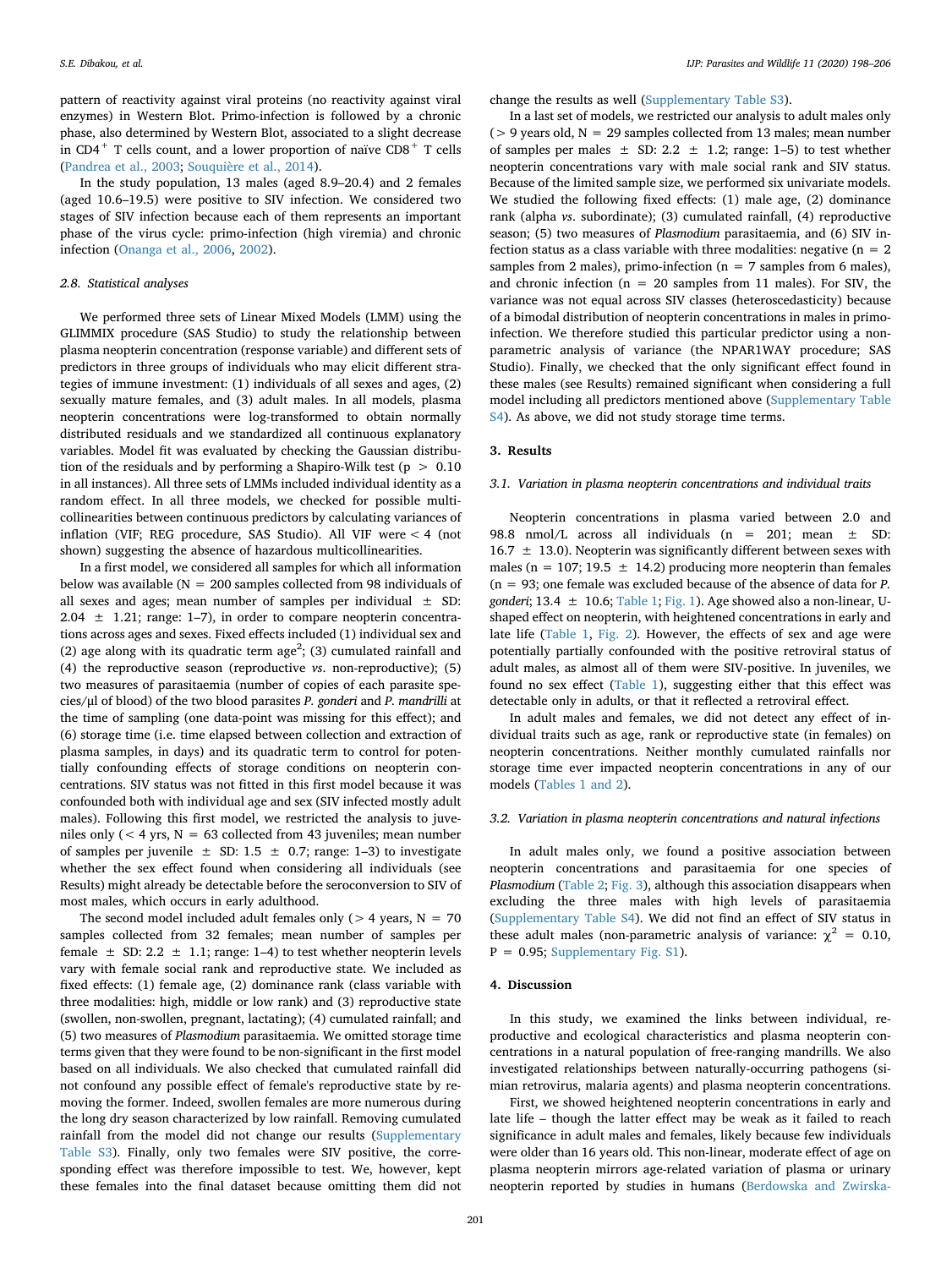pattern of reactivity against viral proteins (no reactivity against viral enzymes) in Western Blot. Primo-infection is followed by a chronic phase, also determined by Western Blot, associated to a slight decrease in CD4<sup>+</sup> T cells count, and a lower proportion of naïve CD8<sup>+</sup> T cells ([Pandrea et al., 2003;](#page-7-36) [Souquière et al., 2014](#page-7-24)).

In the study population, 13 males (aged 8.9–20.4) and 2 females (aged 10.6–19.5) were positive to SIV infection. We considered two stages of SIV infection because each of them represents an important phase of the virus cycle: primo-infection (high viremia) and chronic infection [\(Onanga et al., 2006,](#page-7-29) [2002\)](#page-7-37).

# *2.8. Statistical analyses*

We performed three sets of Linear Mixed Models (LMM) using the GLIMMIX procedure (SAS Studio) to study the relationship between plasma neopterin concentration (response variable) and different sets of predictors in three groups of individuals who may elicit different strategies of immune investment: (1) individuals of all sexes and ages, (2) sexually mature females, and (3) adult males. In all models, plasma neopterin concentrations were log-transformed to obtain normally distributed residuals and we standardized all continuous explanatory variables. Model fit was evaluated by checking the Gaussian distribution of the residuals and by performing a Shapiro-Wilk test ( $p > 0.10$ ) in all instances). All three sets of LMMs included individual identity as a random effect. In all three models, we checked for possible multicollinearities between continuous predictors by calculating variances of inflation (VIF; REG procedure, SAS Studio). All VIF were < 4 (not shown) suggesting the absence of hazardous multicollinearities.

In a first model, we considered all samples for which all information below was available ( $N = 200$  samples collected from 98 individuals of all sexes and ages; mean number of samples per individual  $\pm$  SD: 2.04  $\pm$  1.21; range: 1–7), in order to compare neopterin concentrations across ages and sexes. Fixed effects included (1) individual sex and (2) age along with its quadratic term  $age^2$ ; (3) cumulated rainfall and (4) the reproductive season (reproductive *vs*. non-reproductive); (5) two measures of parasitaemia (number of copies of each parasite species/μl of blood) of the two blood parasites *P. gonderi* and *P. mandrilli* at the time of sampling (one data-point was missing for this effect); and (6) storage time (i.e. time elapsed between collection and extraction of plasma samples, in days) and its quadratic term to control for potentially confounding effects of storage conditions on neopterin concentrations. SIV status was not fitted in this first model because it was confounded both with individual age and sex (SIV infected mostly adult males). Following this first model, we restricted the analysis to juveniles only ( $<$  4 yrs, N = 63 collected from 43 juveniles; mean number of samples per juvenile  $\pm$  SD: 1.5  $\pm$  0.7; range: 1-3) to investigate whether the sex effect found when considering all individuals (see Results) might already be detectable before the seroconversion to SIV of most males, which occurs in early adulthood.

The second model included adult females only ( $> 4$  years, N = 70 samples collected from 32 females; mean number of samples per female  $\pm$  SD: 2.2  $\pm$  1.1; range: 1–4) to test whether neopterin levels vary with female social rank and reproductive state. We included as fixed effects: (1) female age, (2) dominance rank (class variable with three modalities: high, middle or low rank) and (3) reproductive state (swollen, non-swollen, pregnant, lactating); (4) cumulated rainfall; and (5) two measures of *Plasmodium* parasitaemia. We omitted storage time terms given that they were found to be non-significant in the first model based on all individuals. We also checked that cumulated rainfall did not confound any possible effect of female's reproductive state by removing the former. Indeed, swollen females are more numerous during the long dry season characterized by low rainfall. Removing cumulated rainfall from the model did not change our results (Supplementary Table S3). Finally, only two females were SIV positive, the corresponding effect was therefore impossible to test. We, however, kept these females into the final dataset because omitting them did not change the results as well (Supplementary Table S3).

In a last set of models, we restricted our analysis to adult males only ( $> 9$  years old,  $N = 29$  samples collected from 13 males; mean number of samples per males  $\pm$  SD: 2.2  $\pm$  1.2; range: 1-5) to test whether neopterin concentrations vary with male social rank and SIV status. Because of the limited sample size, we performed six univariate models. We studied the following fixed effects: (1) male age, (2) dominance rank (alpha *vs*. subordinate); (3) cumulated rainfall, (4) reproductive season; (5) two measures of *Plasmodium* parasitaemia, and (6) SIV infection status as a class variable with three modalities: negative  $(n = 2)$ samples from 2 males), primo-infection ( $n = 7$  samples from 6 males). and chronic infection ( $n = 20$  samples from 11 males). For SIV, the variance was not equal across SIV classes (heteroscedasticity) because of a bimodal distribution of neopterin concentrations in males in primoinfection. We therefore studied this particular predictor using a nonparametric analysis of variance (the NPAR1WAY procedure; SAS Studio). Finally, we checked that the only significant effect found in these males (see Results) remained significant when considering a full model including all predictors mentioned above (Supplementary Table S4). As above, we did not study storage time terms.

#### **3. Results**

#### *3.1. Variation in plasma neopterin concentrations and individual traits*

Neopterin concentrations in plasma varied between 2.0 and 98.8 nmol/L across all individuals (n = 201; mean ± SD:  $16.7 \pm 13.0$ ). Neopterin was significantly different between sexes with males ( $n = 107$ ; 19.5  $\pm$  14.2) producing more neopterin than females (n = 93; one female was excluded because of the absence of data for *P. gonderi*; 13.4 ± 10.6; [Table 1;](#page-4-0) [Fig. 1\)](#page-4-1). Age showed also a non-linear, Ushaped effect on neopterin, with heightened concentrations in early and late life [\(Table 1,](#page-4-0) [Fig. 2\)](#page-4-2). However, the effects of sex and age were potentially partially confounded with the positive retroviral status of adult males, as almost all of them were SIV-positive. In juveniles, we found no sex effect ([Table 1](#page-4-0)), suggesting either that this effect was detectable only in adults, or that it reflected a retroviral effect.

In adult males and females, we did not detect any effect of individual traits such as age, rank or reproductive state (in females) on neopterin concentrations. Neither monthly cumulated rainfalls nor storage time ever impacted neopterin concentrations in any of our models [\(Tables 1 and 2\)](#page-4-0).

#### *3.2. Variation in plasma neopterin concentrations and natural infections*

In adult males only, we found a positive association between neopterin concentrations and parasitaemia for one species of *Plasmodium* [\(Table 2](#page-5-0); [Fig. 3](#page-5-1)), although this association disappears when excluding the three males with high levels of parasitaemia (Supplementary Table S4). We did not find an effect of SIV status in these adult males (non-parametric analysis of variance:  $\chi^2 = 0.10$ ,  $P = 0.95$ ; Supplementary Fig. S1).

# **4. Discussion**

In this study, we examined the links between individual, reproductive and ecological characteristics and plasma neopterin concentrations in a natural population of free-ranging mandrills. We also investigated relationships between naturally-occurring pathogens (simian retrovirus, malaria agents) and plasma neopterin concentrations.

First, we showed heightened neopterin concentrations in early and late life – though the latter effect may be weak as it failed to reach significance in adult males and females, likely because few individuals were older than 16 years old. This non-linear, moderate effect of age on plasma neopterin mirrors age-related variation of plasma or urinary neopterin reported by studies in humans [\(Berdowska and Zwirska-](#page-6-23)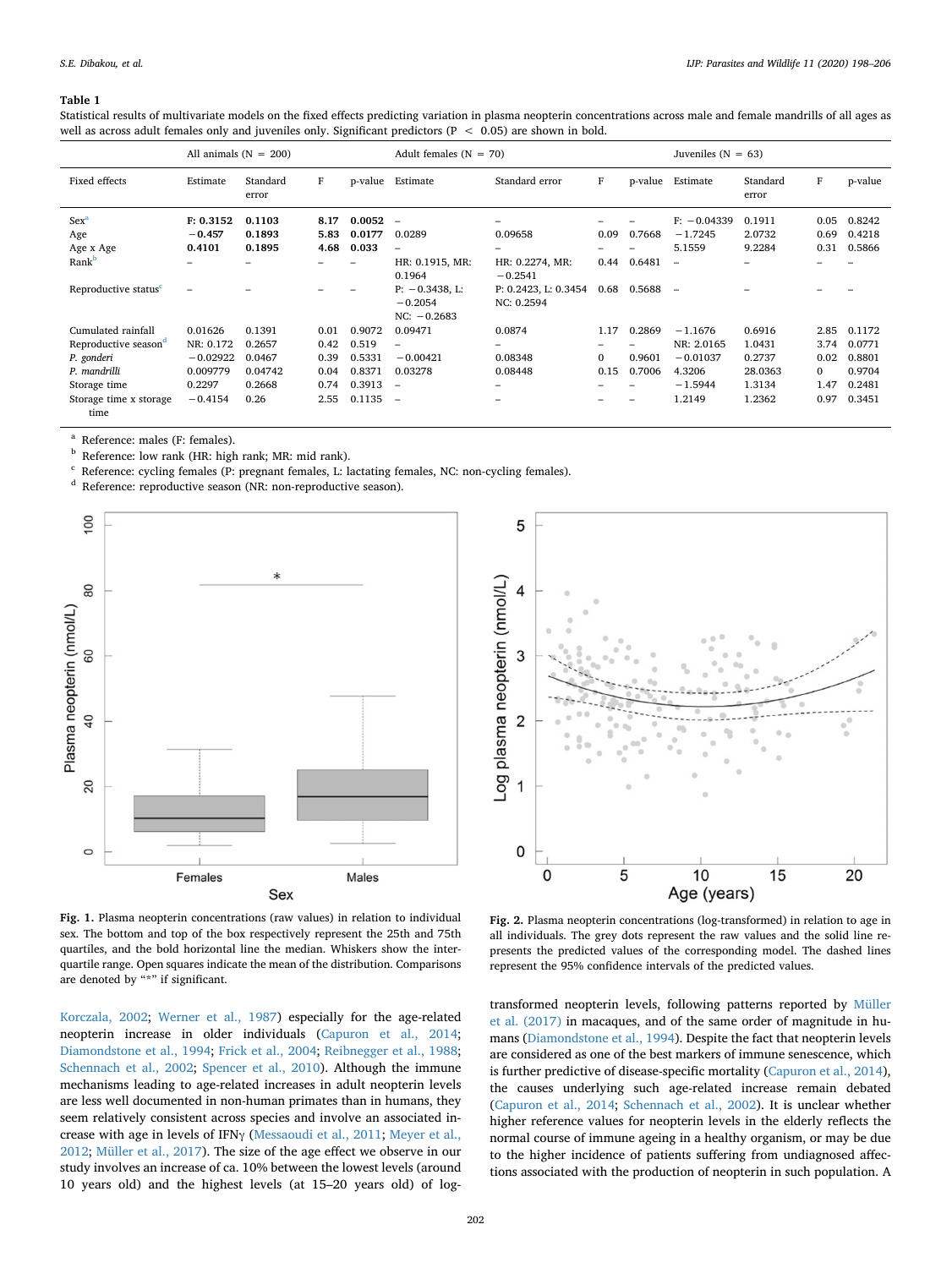#### <span id="page-4-0"></span>**Table 1**

Statistical results of multivariate models on the fixed effects predicting variation in plasma neopterin concentrations across male and female mandrills of all ages as well as across adult females only and juveniles only. Significant predictors ( $P < 0.05$ ) are shown in bold.

|                                      | All animals $(N = 200)$         |                            |                      |                           | Adult females $(N = 70)$                                       |                                          |              |         | Juveniles ( $N = 63$ )               |                            |                      |                            |
|--------------------------------------|---------------------------------|----------------------------|----------------------|---------------------------|----------------------------------------------------------------|------------------------------------------|--------------|---------|--------------------------------------|----------------------------|----------------------|----------------------------|
| Fixed effects                        | Estimate                        | Standard<br>error          | F                    |                           | p-value Estimate                                               | Standard error                           | F            | p-value | Estimate                             | Standard<br>error          | F                    | p-value                    |
| Sex <sup>a</sup><br>Age<br>Age x Age | F: 0.3152<br>$-0.457$<br>0.4101 | 0.1103<br>0.1893<br>0.1895 | 8.17<br>5.83<br>4.68 | 0.0052<br>0.0177<br>0.033 | $\overline{\phantom{a}}$<br>0.0289<br>$\overline{\phantom{0}}$ | -<br>0.09658<br>$\overline{\phantom{0}}$ | 0.09         | 0.7668  | $F: -0.04339$<br>$-1.7245$<br>5.1559 | 0.1911<br>2.0732<br>9.2284 | 0.05<br>0.69<br>0.31 | 0.8242<br>0.4218<br>0.5866 |
| Rank <sup>b</sup>                    |                                 |                            |                      |                           | HR: 0.1915, MR:<br>0.1964                                      | HR: 0.2274, MR:<br>$-0.2541$             | 0.44         | 0.6481  | $\equiv$                             |                            |                      |                            |
| Reproductive status <sup>c</sup>     | $\overline{\phantom{0}}$        |                            |                      |                           | $P: -0.3438$ , L:<br>$-0.2054$<br>$NC: -0.2683$                | P: 0.2423, L: 0.3454<br>NC: 0.2594       | 0.68         | 0.5688  | $\overline{\phantom{a}}$             |                            |                      |                            |
| Cumulated rainfall                   | 0.01626                         | 0.1391                     | 0.01                 | 0.9072                    | 0.09471                                                        | 0.0874                                   | 1.17         | 0.2869  | $-1.1676$                            | 0.6916                     | 2.85                 | 0.1172                     |
| Reproductive season <sup>d</sup>     | NR: 0.172                       | 0.2657                     | 0.42                 | 0.519                     | $\overline{\phantom{0}}$                                       | -                                        |              |         | NR: 2.0165                           | 1.0431                     | 3.74                 | 0.0771                     |
| P. gonderi                           | $-0.02922$                      | 0.0467                     | 0.39                 | 0.5331                    | $-0.00421$                                                     | 0.08348                                  | $\mathbf{0}$ | 0.9601  | $-0.01037$                           | 0.2737                     | 0.02                 | 0.8801                     |
| P. mandrilli                         | 0.009779                        | 0.04742                    | 0.04                 | 0.8371                    | 0.03278                                                        | 0.08448                                  | 0.15         | 0.7006  | 4.3206                               | 28.0363                    | $\Omega$             | 0.9704                     |
| Storage time                         | 0.2297                          | 0.2668                     | 0.74                 | 0.3913                    | $\overline{\phantom{a}}$                                       | -                                        |              |         | $-1.5944$                            | 1.3134                     | 1.47                 | 0.2481                     |
| Storage time x storage<br>time       | $-0.4154$                       | 0.26                       | 2.55                 | 0.1135                    | $\overline{\phantom{a}}$                                       | $\overline{\phantom{0}}$                 |              | -       | 1.2149                               | 1.2362                     | 0.97                 | 0.3451                     |

<span id="page-4-3"></span>Reference: males (F: females).

<span id="page-4-4"></span><sup>b</sup> Reference: low rank (HR: high rank; MR: mid rank).

<span id="page-4-5"></span><sup>c</sup> Reference: cycling females (P: pregnant females, L: lactating females, NC: non-cycling females).

<span id="page-4-6"></span><sup>d</sup> Reference: reproductive season (NR: non-reproductive season).

<span id="page-4-1"></span>

**Fig. 1.** Plasma neopterin concentrations (raw values) in relation to individual sex. The bottom and top of the box respectively represent the 25th and 75th quartiles, and the bold horizontal line the median. Whiskers show the interquartile range. Open squares indicate the mean of the distribution. Comparisons are denoted by "\*" if significant.

[Korczala, 2002;](#page-6-23) [Werner et al., 1987](#page-7-38)) especially for the age-related neopterin increase in older individuals ([Capuron et al., 2014](#page-6-24); [Diamondstone et al., 1994;](#page-6-25) [Frick et al., 2004](#page-6-26); [Reibnegger et al., 1988](#page-7-39); [Schennach et al., 2002](#page-7-40); [Spencer et al., 2010](#page-7-41)). Although the immune mechanisms leading to age-related increases in adult neopterin levels are less well documented in non-human primates than in humans, they seem relatively consistent across species and involve an associated increase with age in levels of IFNγ ([Messaoudi et al., 2011](#page-7-42); [Meyer et al.,](#page-7-43) [2012;](#page-7-43) [Müller et al., 2017](#page-7-27)). The size of the age effect we observe in our study involves an increase of ca. 10% between the lowest levels (around 10 years old) and the highest levels (at 15–20 years old) of log-

<span id="page-4-2"></span>

**Fig. 2.** Plasma neopterin concentrations (log-transformed) in relation to age in all individuals. The grey dots represent the raw values and the solid line represents the predicted values of the corresponding model. The dashed lines represent the 95% confidence intervals of the predicted values.

transformed neopterin levels, following patterns reported by [Müller](#page-7-27) [et al. \(2017\)](#page-7-27) in macaques, and of the same order of magnitude in humans [\(Diamondstone et al., 1994](#page-6-25)). Despite the fact that neopterin levels are considered as one of the best markers of immune senescence, which is further predictive of disease-specific mortality ([Capuron et al., 2014](#page-6-24)), the causes underlying such age-related increase remain debated ([Capuron et al., 2014;](#page-6-24) [Schennach et al., 2002](#page-7-40)). It is unclear whether higher reference values for neopterin levels in the elderly reflects the normal course of immune ageing in a healthy organism, or may be due to the higher incidence of patients suffering from undiagnosed affections associated with the production of neopterin in such population. A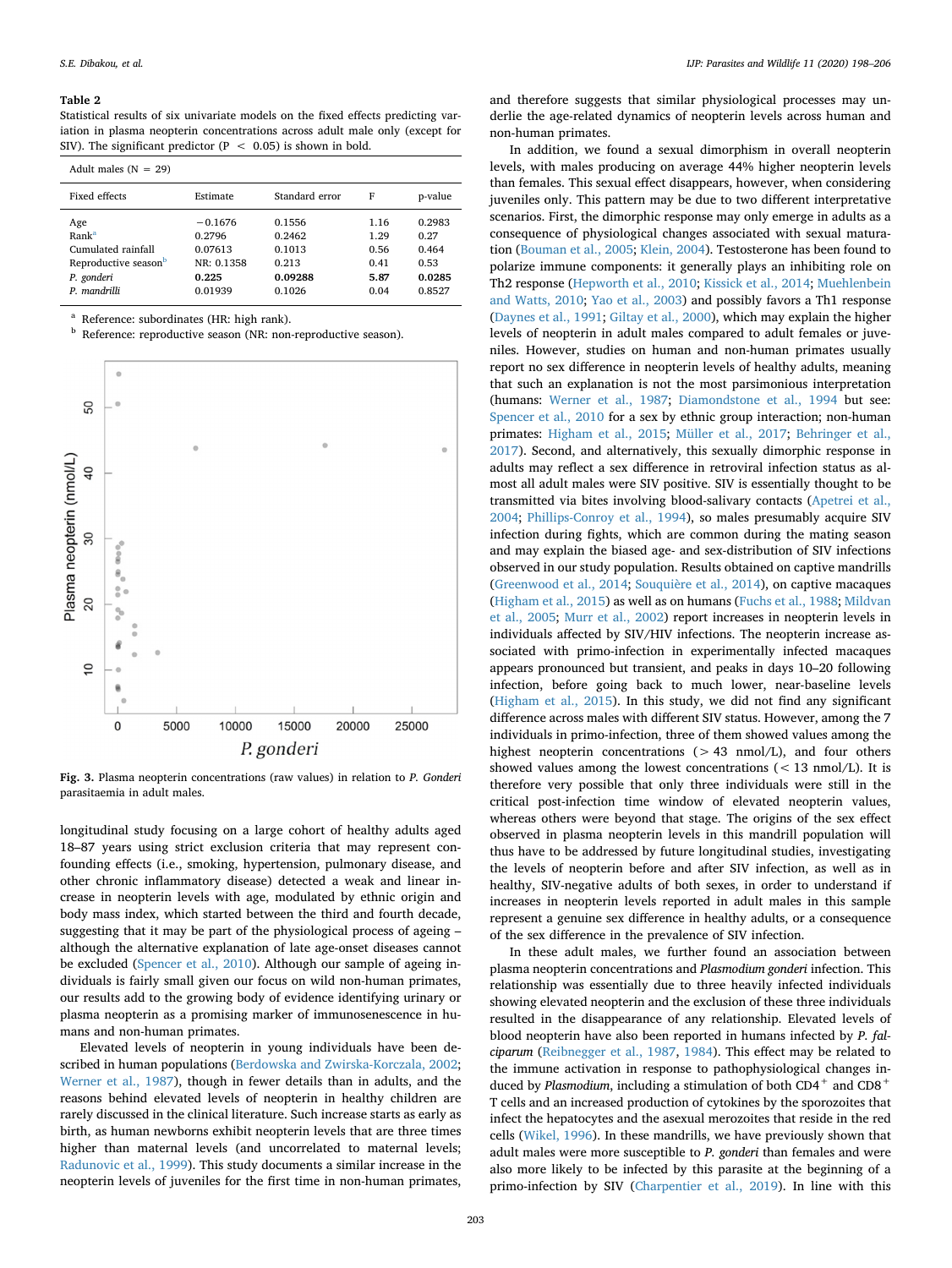#### <span id="page-5-0"></span>**Table 2**

Statistical results of six univariate models on the fixed effects predicting variation in plasma neopterin concentrations across adult male only (except for SIV). The significant predictor (P  $\leq$  0.05) is shown in bold.

| Adult males $(N = 29)$                                                               |                                                       |                                                |                                      |                                           |  |  |  |  |  |  |
|--------------------------------------------------------------------------------------|-------------------------------------------------------|------------------------------------------------|--------------------------------------|-------------------------------------------|--|--|--|--|--|--|
| Fixed effects                                                                        | Estimate                                              | Standard error                                 | F                                    | p-value                                   |  |  |  |  |  |  |
| Age<br>Rank <sup>a</sup><br>Cumulated rainfall<br>Reproductive seasonb<br>P. gonderi | $-0.1676$<br>0.2796<br>0.07613<br>NR: 0.1358<br>0.225 | 0.1556<br>0.2462<br>0.1013<br>0.213<br>0.09288 | 1.16<br>1.29<br>0.56<br>0.41<br>5.87 | 0.2983<br>0.27<br>0.464<br>0.53<br>0.0285 |  |  |  |  |  |  |
| P. mandrilli                                                                         | 0.01939                                               | 0.1026                                         | 0.04                                 | 0.8527                                    |  |  |  |  |  |  |

<span id="page-5-2"></span>Reference: subordinates (HR: high rank).

<span id="page-5-3"></span>**b** Reference: reproductive season (NR: non-reproductive season).

<span id="page-5-1"></span>

**Fig. 3.** Plasma neopterin concentrations (raw values) in relation to *P. Gonderi* parasitaemia in adult males.

longitudinal study focusing on a large cohort of healthy adults aged 18–87 years using strict exclusion criteria that may represent confounding effects (i.e., smoking, hypertension, pulmonary disease, and other chronic inflammatory disease) detected a weak and linear increase in neopterin levels with age, modulated by ethnic origin and body mass index, which started between the third and fourth decade, suggesting that it may be part of the physiological process of ageing – although the alternative explanation of late age-onset diseases cannot be excluded ([Spencer et al., 2010\)](#page-7-41). Although our sample of ageing individuals is fairly small given our focus on wild non-human primates, our results add to the growing body of evidence identifying urinary or plasma neopterin as a promising marker of immunosenescence in humans and non-human primates.

Elevated levels of neopterin in young individuals have been described in human populations [\(Berdowska and Zwirska-Korczala, 2002](#page-6-23); [Werner et al., 1987\)](#page-7-38), though in fewer details than in adults, and the reasons behind elevated levels of neopterin in healthy children are rarely discussed in the clinical literature. Such increase starts as early as birth, as human newborns exhibit neopterin levels that are three times higher than maternal levels (and uncorrelated to maternal levels; [Radunovic et al., 1999](#page-7-44)). This study documents a similar increase in the neopterin levels of juveniles for the first time in non-human primates,

and therefore suggests that similar physiological processes may underlie the age-related dynamics of neopterin levels across human and non-human primates.

In addition, we found a sexual dimorphism in overall neopterin levels, with males producing on average 44% higher neopterin levels than females. This sexual effect disappears, however, when considering juveniles only. This pattern may be due to two different interpretative scenarios. First, the dimorphic response may only emerge in adults as a consequence of physiological changes associated with sexual maturation ([Bouman et al., 2005](#page-6-27); [Klein, 2004](#page-7-45)). Testosterone has been found to polarize immune components: it generally plays an inhibiting role on Th2 response ([Hepworth et al., 2010](#page-7-46); [Kissick et al., 2014](#page-7-47); [Muehlenbein](#page-7-48) [and Watts, 2010](#page-7-48); [Yao et al., 2003\)](#page-8-4) and possibly favors a Th1 response ([Daynes et al., 1991](#page-6-28); [Giltay et al., 2000](#page-7-49)), which may explain the higher levels of neopterin in adult males compared to adult females or juveniles. However, studies on human and non-human primates usually report no sex difference in neopterin levels of healthy adults, meaning that such an explanation is not the most parsimonious interpretation (humans: [Werner et al., 1987](#page-7-38); [Diamondstone et al., 1994](#page-6-25) but see: [Spencer et al., 2010](#page-7-41) for a sex by ethnic group interaction; non-human primates: [Higham et al., 2015](#page-7-25); [Müller et al., 2017;](#page-7-27) [Behringer et al.,](#page-6-12) [2017\)](#page-6-12). Second, and alternatively, this sexually dimorphic response in adults may reflect a sex difference in retroviral infection status as almost all adult males were SIV positive. SIV is essentially thought to be transmitted via bites involving blood-salivary contacts [\(Apetrei et al.,](#page-6-29) [2004;](#page-6-29) [Phillips-Conroy et al., 1994](#page-7-50)), so males presumably acquire SIV infection during fights, which are common during the mating season and may explain the biased age- and sex-distribution of SIV infections observed in our study population. Results obtained on captive mandrills ([Greenwood et al., 2014;](#page-7-23) [Souquière et al., 2014\)](#page-7-24), on captive macaques ([Higham et al., 2015\)](#page-7-25) as well as on humans ([Fuchs et al., 1988](#page-6-30); [Mildvan](#page-7-16) [et al., 2005](#page-7-16); [Murr et al., 2002](#page-7-13)) report increases in neopterin levels in individuals affected by SIV/HIV infections. The neopterin increase associated with primo-infection in experimentally infected macaques appears pronounced but transient, and peaks in days 10–20 following infection, before going back to much lower, near-baseline levels ([Higham et al., 2015](#page-7-25)). In this study, we did not find any significant difference across males with different SIV status. However, among the 7 individuals in primo-infection, three of them showed values among the highest neopterin concentrations  $(> 43 \text{ nmol/L})$ , and four others showed values among the lowest concentrations  $(< 13$  nmol/L). It is therefore very possible that only three individuals were still in the critical post-infection time window of elevated neopterin values, whereas others were beyond that stage. The origins of the sex effect observed in plasma neopterin levels in this mandrill population will thus have to be addressed by future longitudinal studies, investigating the levels of neopterin before and after SIV infection, as well as in healthy, SIV-negative adults of both sexes, in order to understand if increases in neopterin levels reported in adult males in this sample represent a genuine sex difference in healthy adults, or a consequence of the sex difference in the prevalence of SIV infection.

In these adult males, we further found an association between plasma neopterin concentrations and *Plasmodium gonderi* infection. This relationship was essentially due to three heavily infected individuals showing elevated neopterin and the exclusion of these three individuals resulted in the disappearance of any relationship. Elevated levels of blood neopterin have also been reported in humans infected by *P. falciparum* [\(Reibnegger et al., 1987](#page-7-22), [1984](#page-7-21)). This effect may be related to the immune activation in response to pathophysiological changes induced by *Plasmodium*, including a stimulation of both CD4<sup>+</sup> and CD8<sup>+</sup> T cells and an increased production of cytokines by the sporozoites that infect the hepatocytes and the asexual merozoites that reside in the red cells ([Wikel, 1996\)](#page-8-5). In these mandrills, we have previously shown that adult males were more susceptible to *P. gonderi* than females and were also more likely to be infected by this parasite at the beginning of a primo-infection by SIV [\(Charpentier et al., 2019\)](#page-6-17). In line with this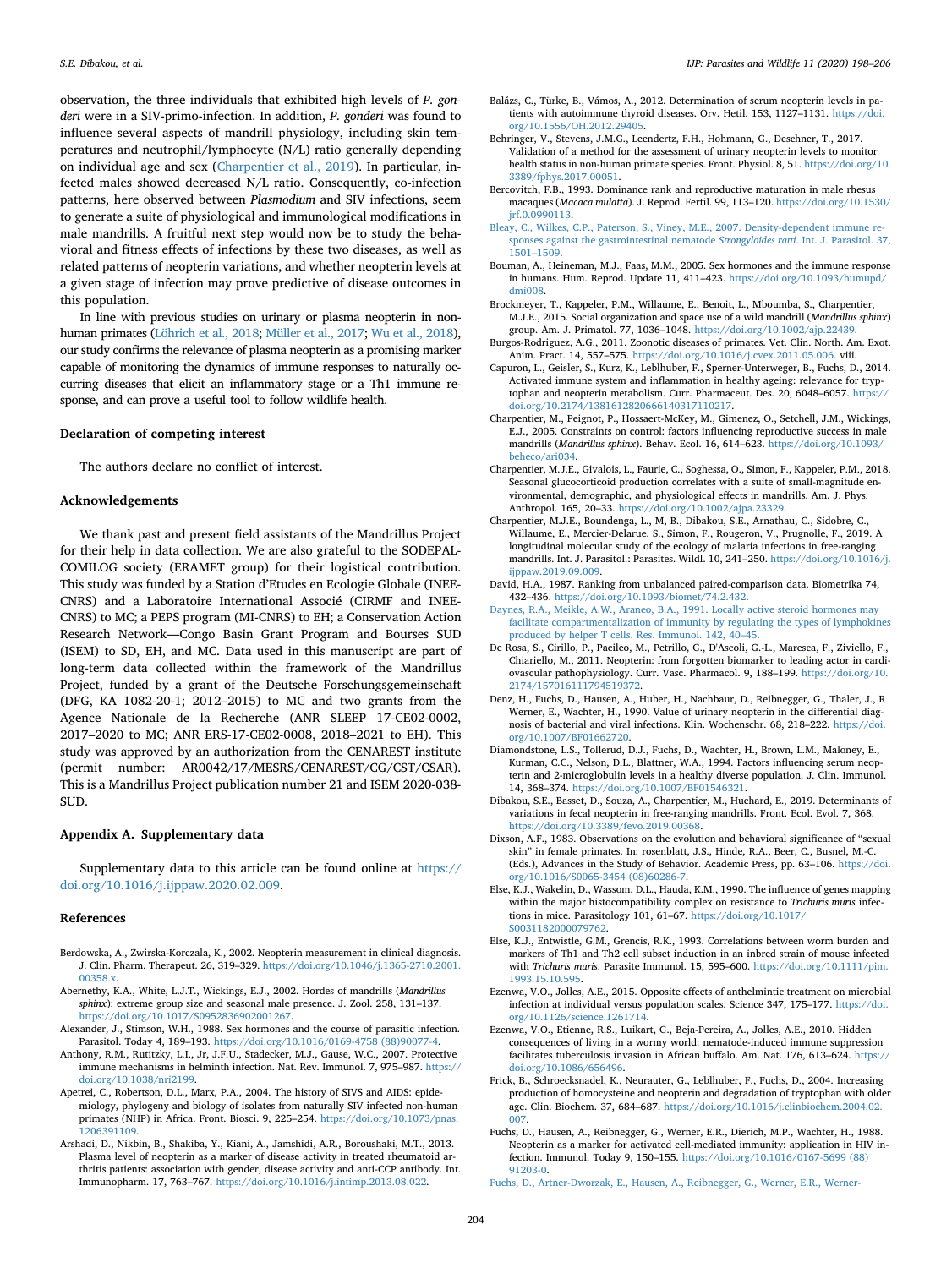observation, the three individuals that exhibited high levels of *P. gonderi* were in a SIV-primo-infection. In addition, *P. gonderi* was found to influence several aspects of mandrill physiology, including skin temperatures and neutrophil/lymphocyte (N/L) ratio generally depending on individual age and sex ([Charpentier et al., 2019\)](#page-6-17). In particular, infected males showed decreased N/L ratio. Consequently, co-infection patterns, here observed between *Plasmodium* and SIV infections, seem to generate a suite of physiological and immunological modifications in male mandrills. A fruitful next step would now be to study the behavioral and fitness effects of infections by these two diseases, as well as related patterns of neopterin variations, and whether neopterin levels at a given stage of infection may prove predictive of disease outcomes in this population.

In line with previous studies on urinary or plasma neopterin in nonhuman primates [\(Löhrich et al., 2018](#page-7-26); [Müller et al., 2017](#page-7-27); [Wu et al., 2018\)](#page-8-2), our study confirms the relevance of plasma neopterin as a promising marker capable of monitoring the dynamics of immune responses to naturally occurring diseases that elicit an inflammatory stage or a Th1 immune response, and can prove a useful tool to follow wildlife health.

#### **Declaration of competing interest**

The authors declare no conflict of interest.

#### **Acknowledgements**

We thank past and present field assistants of the Mandrillus Project for their help in data collection. We are also grateful to the SODEPAL-COMILOG society (ERAMET group) for their logistical contribution. This study was funded by a Station d'Etudes en Ecologie Globale (INEE-CNRS) and a Laboratoire International Associé (CIRMF and INEE-CNRS) to MC; a PEPS program (MI-CNRS) to EH; a Conservation Action Research Network—Congo Basin Grant Program and Bourses SUD (ISEM) to SD, EH, and MC. Data used in this manuscript are part of long-term data collected within the framework of the Mandrillus Project, funded by a grant of the Deutsche Forschungsgemeinschaft (DFG, KA 1082-20-1; 2012–2015) to MC and two grants from the Agence Nationale de la Recherche (ANR SLEEP 17-CE02-0002, 2017–2020 to MC; ANR ERS-17-CE02-0008, 2018–2021 to EH). This study was approved by an authorization from the CENAREST institute (permit number: AR0042/17/MESRS/CENAREST/CG/CST/CSAR). This is a Mandrillus Project publication number 21 and ISEM 2020-038- SUD.

#### **Appendix A. Supplementary data**

Supplementary data to this article can be found online at [https://](https://doi.org/10.1016/j.ijppaw.2020.02.009) [doi.org/10.1016/j.ijppaw.2020.02.009](https://doi.org/10.1016/j.ijppaw.2020.02.009).

#### **References**

- <span id="page-6-23"></span>Berdowska, A., Zwirska‐Korczala, K., 2002. Neopterin measurement in clinical diagnosis. J. Clin. Pharm. Therapeut. 26, 319–329. [https://doi.org/10.1046/j.1365-2710.2001.](https://doi.org/10.1046/j.1365-2710.2001.00358.x) 00358 x
- <span id="page-6-14"></span>Abernethy, K.A., White, L.J.T., Wickings, E.J., 2002. Hordes of mandrills (*Mandrillus sphinx*): extreme group size and seasonal male presence. J. Zool. 258, 131–137. <https://doi.org/10.1017/S0952836902001267>.
- <span id="page-6-6"></span>Alexander, J., Stimson, W.H., 1988. Sex hormones and the course of parasitic infection. Parasitol. Today 4, 189–193. [https://doi.org/10.1016/0169-4758 \(88\)90077-4](https://doi.org/10.1016/0169-4758 (88)90077-4).
- <span id="page-6-0"></span>Anthony, R.M., Rutitzky, L.I., Jr, J.F.U., Stadecker, M.J., Gause, W.C., 2007. Protective immune mechanisms in helminth infection. Nat. Rev. Immunol. 7, 975–987. [https://](https://doi.org/10.1038/nri2199) [doi.org/10.1038/nri2199.](https://doi.org/10.1038/nri2199)
- <span id="page-6-29"></span>Apetrei, C., Robertson, D.L., Marx, P.A., 2004. The history of SIVS and AIDS: epidemiology, phylogeny and biology of isolates from naturally SIV infected non-human primates (NHP) in Africa. Front. Biosci. 9, 225–254. [https://doi.org/10.1073/pnas.](https://doi.org/10.1073/pnas.1206391109) [1206391109](https://doi.org/10.1073/pnas.1206391109).
- <span id="page-6-10"></span>Arshadi, D., Nikbin, B., Shakiba, Y., Kiani, A., Jamshidi, A.R., Boroushaki, M.T., 2013. Plasma level of neopterin as a marker of disease activity in treated rheumatoid arthritis patients: association with gender, disease activity and anti-CCP antibody. Int. Immunopharm. 17, 763–767. [https://doi.org/10.1016/j.intimp.2013.08.022.](https://doi.org/10.1016/j.intimp.2013.08.022)
- <span id="page-6-11"></span>Balázs, C., Türke, B., Vámos, A., 2012. Determination of serum neopterin levels in patients with autoimmune thyroid diseases. Orv. Hetil. 153, 1127–1131. [https://doi.](https://doi.org/10.1556/OH.2012.29405) [org/10.1556/OH.2012.29405.](https://doi.org/10.1556/OH.2012.29405)
- <span id="page-6-12"></span>Behringer, V., Stevens, J.M.G., Leendertz, F.H., Hohmann, G., Deschner, T., 2017. Validation of a method for the assessment of urinary neopterin levels to monitor health status in non-human primate species. Front. Physiol. 8, 51. [https://doi.org/10.](https://doi.org/10.3389/fphys.2017.00051) [3389/fphys.2017.00051](https://doi.org/10.3389/fphys.2017.00051).
- <span id="page-6-15"></span>Bercovitch, F.B., 1993. Dominance rank and reproductive maturation in male rhesus macaques (*Macaca mulatta*). J. Reprod. Fertil. 99, 113–120. [https://doi.org/10.1530/](https://doi.org/10.1530/jrf.0.0990113) [jrf.0.0990113](https://doi.org/10.1530/jrf.0.0990113).
- <span id="page-6-4"></span>[Bleay, C., Wilkes, C.P., Paterson, S., Viney, M.E., 2007. Density-dependent immune re](http://refhub.elsevier.com/S2213-2244(20)30021-3/sref10)[sponses against the gastrointestinal nematode](http://refhub.elsevier.com/S2213-2244(20)30021-3/sref10) *Strongyloides ratti*. Int. J. Parasitol. 37, [1501–1509](http://refhub.elsevier.com/S2213-2244(20)30021-3/sref10).
- <span id="page-6-27"></span>Bouman, A., Heineman, M.J., Faas, M.M., 2005. Sex hormones and the immune response in humans. Hum. Reprod. Update 11, 411–423. [https://doi.org/10.1093/humupd/](https://doi.org/10.1093/humupd/dmi008) [dmi008](https://doi.org/10.1093/humupd/dmi008).
- <span id="page-6-16"></span>Brockmeyer, T., Kappeler, P.M., Willaume, E., Benoit, L., Mboumba, S., Charpentier, M.J.E., 2015. Social organization and space use of a wild mandrill (*Mandrillus sphinx*) group. Am. J. Primatol. 77, 1036–1048. [https://doi.org/10.1002/ajp.22439.](https://doi.org/10.1002/ajp.22439)
- <span id="page-6-13"></span>Burgos-Rodriguez, A.G., 2011. Zoonotic diseases of primates. Vet. Clin. North. Am. Exot. Anim. Pract. 14, 557–575. [https://doi.org/10.1016/j.cvex.2011.05.006.](https://doi.org/10.1016/j.cvex.2011.05.006) viii.
- <span id="page-6-24"></span>Capuron, L., Geisler, S., Kurz, K., Leblhuber, F., Sperner-Unterweger, B., Fuchs, D., 2014. Activated immune system and inflammation in healthy ageing: relevance for tryptophan and neopterin metabolism. Curr. Pharmaceut. Des. 20, 6048–6057. [https://](https://doi.org/10.2174/1381612820666140317110217) [doi.org/10.2174/1381612820666140317110217.](https://doi.org/10.2174/1381612820666140317110217)
- <span id="page-6-21"></span>Charpentier, M., Peignot, P., Hossaert-McKey, M., Gimenez, O., Setchell, J.M., Wickings, E.J., 2005. Constraints on control: factors influencing reproductive success in male mandrills (*Mandrillus sphinx*). Behav. Ecol. 16, 614–623. [https://doi.org/10.1093/](https://doi.org/10.1093/beheco/ari034) [beheco/ari034](https://doi.org/10.1093/beheco/ari034).
- <span id="page-6-20"></span>Charpentier, M.J.E., Givalois, L., Faurie, C., Soghessa, O., Simon, F., Kappeler, P.M., 2018. Seasonal glucocorticoid production correlates with a suite of small-magnitude environmental, demographic, and physiological effects in mandrills. Am. J. Phys. Anthropol. 165, 20–33. [https://doi.org/10.1002/ajpa.23329.](https://doi.org/10.1002/ajpa.23329)
- <span id="page-6-17"></span>Charpentier, M.J.E., Boundenga, L., M, B., Dibakou, S.E., Arnathau, C., Sidobre, C., Willaume, E., Mercier-Delarue, S., Simon, F., Rougeron, V., Prugnolle, F., 2019. A longitudinal molecular study of the ecology of malaria infections in free-ranging mandrills. Int. J. Parasitol.: Parasites. Wildl. 10, 241–250. [https://doi.org/10.1016/j.](https://doi.org/10.1016/j.ijppaw.2019.09.009) [ijppaw.2019.09.009](https://doi.org/10.1016/j.ijppaw.2019.09.009).
- <span id="page-6-19"></span>David, H.A., 1987. Ranking from unbalanced paired-comparison data. Biometrika 74, 432–436. [https://doi.org/10.1093/biomet/74.2.432.](https://doi.org/10.1093/biomet/74.2.432)
- <span id="page-6-28"></span>[Daynes, R.A., Meikle, A.W., Araneo, B.A., 1991. Locally active steroid hormones may](http://refhub.elsevier.com/S2213-2244(20)30021-3/sref19) [facilitate compartmentalization of immunity by regulating the types of lymphokines](http://refhub.elsevier.com/S2213-2244(20)30021-3/sref19) [produced by helper T cells. Res. Immunol. 142, 40–45.](http://refhub.elsevier.com/S2213-2244(20)30021-3/sref19)
- <span id="page-6-9"></span>De Rosa, S., Cirillo, P., Pacileo, M., Petrillo, G., D'Ascoli, G.-L., Maresca, F., Ziviello, F., Chiariello, M., 2011. Neopterin: from forgotten biomarker to leading actor in cardiovascular pathophysiology. Curr. Vasc. Pharmacol. 9, 188–199. [https://doi.org/10.](https://doi.org/10.2174/157016111794519372) [2174/157016111794519372.](https://doi.org/10.2174/157016111794519372)
- <span id="page-6-7"></span>Denz, H., Fuchs, D., Hausen, A., Huber, H., Nachbaur, D., Reibnegger, G., Thaler, J., R Werner, E., Wachter, H., 1990. Value of urinary neopterin in the differential diagnosis of bacterial and viral infections. Klin. Wochenschr. 68, 218–222. [https://doi.](https://doi.org/10.1007/BF01662720) [org/10.1007/BF01662720](https://doi.org/10.1007/BF01662720).
- <span id="page-6-25"></span>Diamondstone, L.S., Tollerud, D.J., Fuchs, D., Wachter, H., Brown, L.M., Maloney, E., Kurman, C.C., Nelson, D.L., Blattner, W.A., 1994. Factors influencing serum neopterin and 2-microglobulin levels in a healthy diverse population. J. Clin. Immunol. 14, 368–374. <https://doi.org/10.1007/BF01546321>.
- <span id="page-6-18"></span>Dibakou, S.E., Basset, D., Souza, A., Charpentier, M., Huchard, E., 2019. Determinants of variations in fecal neopterin in free-ranging mandrills. Front. Ecol. Evol. 7, 368. <https://doi.org/10.3389/fevo.2019.00368>.
- <span id="page-6-22"></span>Dixson, A.F., 1983. Observations on the evolution and behavioral significance of "sexual skin" in female primates. In: rosenblatt, J.S., Hinde, R.A., Beer, C., Busnel, M.-C. (Eds.), Advances in the Study of Behavior. Academic Press, pp. 63–106. [https://doi.](https://doi.org/10.1016/S0065-3454 (08)60286-7) [org/10.1016/S0065-3454 \(08\)60286-7](https://doi.org/10.1016/S0065-3454 (08)60286-7).
- <span id="page-6-2"></span>Else, K.J., Wakelin, D., Wassom, D.L., Hauda, K.M., 1990. The influence of genes mapping within the major histocompatibility complex on resistance to *Trichuris muris* infections in mice. Parasitology 101, 61–67. [https://doi.org/10.1017/](https://doi.org/10.1017/S0031182000079762) [S0031182000079762](https://doi.org/10.1017/S0031182000079762).
- <span id="page-6-3"></span>Else, K.J., Entwistle, G.M., Grencis, R.K., 1993. Correlations between worm burden and markers of Th1 and Th2 cell subset induction in an inbred strain of mouse infected with *Trichuris muris*. Parasite Immunol. 15, 595–600. [https://doi.org/10.1111/pim.](https://doi.org/10.1111/pim.1993.15.10.595) [1993.15.10.595](https://doi.org/10.1111/pim.1993.15.10.595).
- <span id="page-6-5"></span>Ezenwa, V.O., Jolles, A.E., 2015. Opposite effects of anthelmintic treatment on microbial infection at individual versus population scales. Science 347, 175–177. [https://doi.](https://doi.org/10.1126/science.1261714) [org/10.1126/science.1261714.](https://doi.org/10.1126/science.1261714)
- <span id="page-6-1"></span>Ezenwa, V.O., Etienne, R.S., Luikart, G., Beja‐Pereira, A., Jolles, A.E., 2010. Hidden consequences of living in a wormy world: nematode‐induced immune suppression facilitates tuberculosis invasion in African buffalo. Am. Nat. 176, 613–624. [https://](https://doi.org/10.1086/656496) [doi.org/10.1086/656496.](https://doi.org/10.1086/656496)
- <span id="page-6-26"></span>Frick, B., Schroecksnadel, K., Neurauter, G., Leblhuber, F., Fuchs, D., 2004. Increasing production of homocysteine and neopterin and degradation of tryptophan with older age. Clin. Biochem. 37, 684–687. [https://doi.org/10.1016/j.clinbiochem.2004.02.](https://doi.org/10.1016/j.clinbiochem.2004.02.007) [007](https://doi.org/10.1016/j.clinbiochem.2004.02.007).
- <span id="page-6-30"></span>Fuchs, D., Hausen, A., Reibnegger, G., Werner, E.R., Dierich, M.P., Wachter, H., 1988. Neopterin as a marker for activated cell-mediated immunity: application in HIV infection. Immunol. Today 9, 150–155. [https://doi.org/10.1016/0167-5699 \(88\)](https://doi.org/10.1016/0167-5699 (88)91203-0) [91203-0](https://doi.org/10.1016/0167-5699 (88)91203-0).

<span id="page-6-8"></span>[Fuchs, D., Artner-Dworzak, E., Hausen, A., Reibnegger, G., Werner, E.R., Werner-](http://refhub.elsevier.com/S2213-2244(20)30021-3/sref31)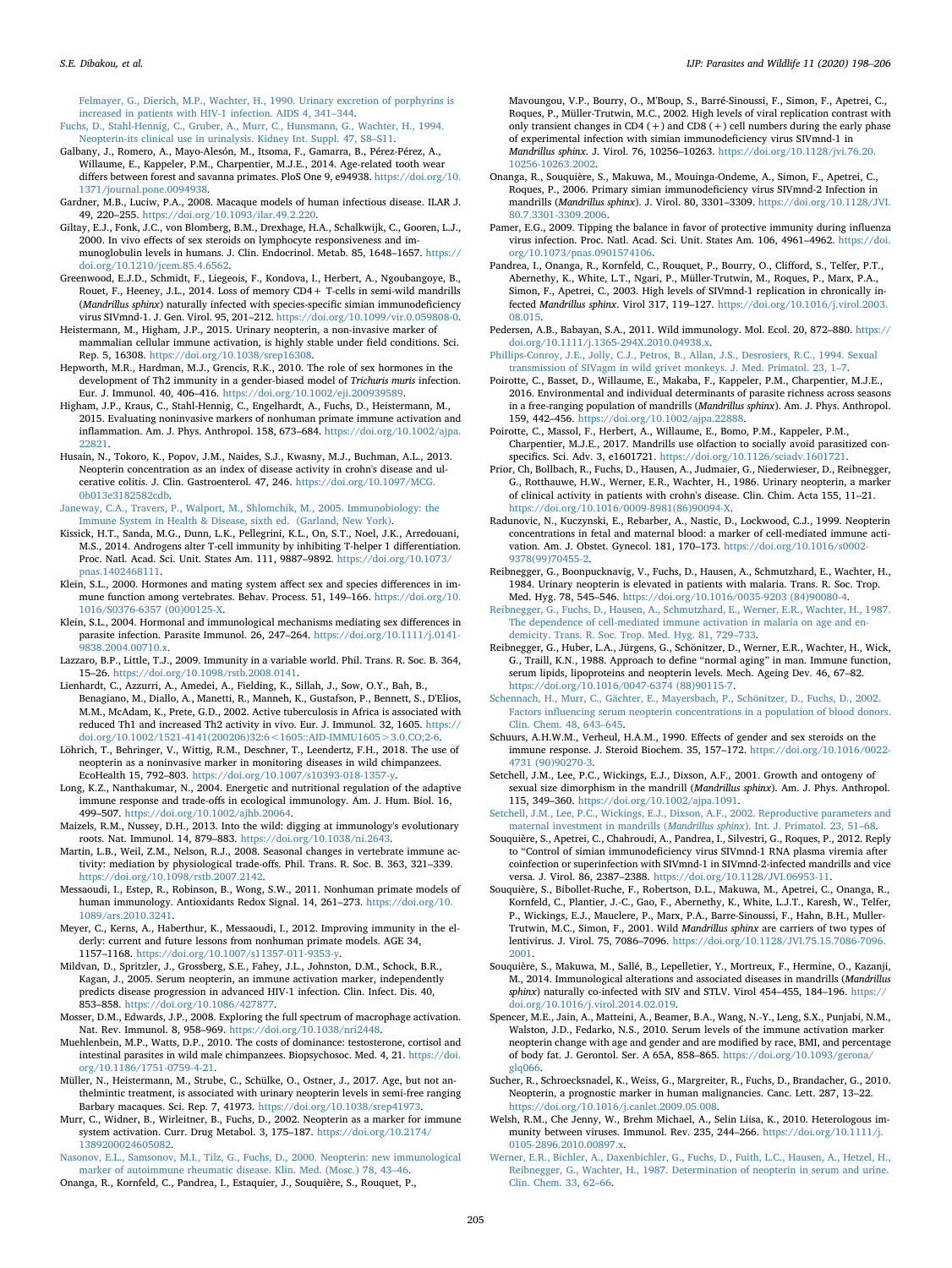[Felmayer, G., Dierich, M.P., Wachter, H., 1990. Urinary excretion of porphyrins is](http://refhub.elsevier.com/S2213-2244(20)30021-3/sref31) [increased in patients with HIV-1 infection. AIDS 4, 341–344](http://refhub.elsevier.com/S2213-2244(20)30021-3/sref31). [Fuchs, D., Stahl-Hennig, C., Gruber, A., Murr, C., Hunsmann, G., Wachter, H., 1994.](http://refhub.elsevier.com/S2213-2244(20)30021-3/sref32)

<span id="page-7-15"></span>[Neopterin-its clinical use in urinalysis. Kidney Int. Suppl. 47, S8–S11](http://refhub.elsevier.com/S2213-2244(20)30021-3/sref32).

<span id="page-7-34"></span>Galbany, J., Romero, A., Mayo-Alesón, M., Itsoma, F., Gamarra, B., Pérez-Pérez, A., Willaume, E., Kappeler, P.M., Charpentier, M.J.E., 2014. Age-related tooth wear differs between forest and savanna primates. PloS One 9, e94938. [https://doi.org/10.](https://doi.org/10.1371/journal.pone.0094938) [1371/journal.pone.0094938.](https://doi.org/10.1371/journal.pone.0094938)

<span id="page-7-0"></span>Gardner, M.B., Luciw, P.A., 2008. Macaque models of human infectious disease. ILAR J. 49, 220–255. [https://doi.org/10.1093/ilar.49.2.220.](https://doi.org/10.1093/ilar.49.2.220)

<span id="page-7-49"></span>Giltay, E.J., Fonk, J.C., von Blomberg, B.M., Drexhage, H.A., Schalkwijk, C., Gooren, L.J., 2000. In vivo effects of sex steroids on lymphocyte responsiveness and immunoglobulin levels in humans. J. Clin. Endocrinol. Metab. 85, 1648–1657. [https://](https://doi.org/10.1210/jcem.85.4.6562) [doi.org/10.1210/jcem.85.4.6562](https://doi.org/10.1210/jcem.85.4.6562).

<span id="page-7-23"></span>Greenwood, E.J.D., Schmidt, F., Liegeois, F., Kondova, I., Herbert, A., Ngoubangoye, B., Rouet, F., Heeney, J.L., 2014. Loss of memory CD4+ T-cells in semi-wild mandrills (*Mandrillus sphinx*) naturally infected with species-specific simian immunodeficiency virus SIVmnd-1. J. Gen. Virol. 95, 201–212. [https://doi.org/10.1099/vir.0.059808-0.](https://doi.org/10.1099/vir.0.059808-0)

<span id="page-7-14"></span>Heistermann, M., Higham, J.P., 2015. Urinary neopterin, a non-invasive marker of mammalian cellular immune activation, is highly stable under field conditions. Sci. Rep. 5, 16308. <https://doi.org/10.1038/srep16308>.

<span id="page-7-46"></span>Hepworth, M.R., Hardman, M.J., Grencis, R.K., 2010. The role of sex hormones in the development of Th2 immunity in a gender‐biased model of *Trichuris muris* infection. Eur. J. Immunol. 40, 406–416. <https://doi.org/10.1002/eji.200939589>.

<span id="page-7-25"></span>Higham, J.P., Kraus, C., Stahl-Hennig, C., Engelhardt, A., Fuchs, D., Heistermann, M., 2015. Evaluating noninvasive markers of nonhuman primate immune activation and inflammation. Am. J. Phys. Anthropol. 158, 673–684. [https://doi.org/10.1002/ajpa.](https://doi.org/10.1002/ajpa.22821) [22821.](https://doi.org/10.1002/ajpa.22821)

<span id="page-7-19"></span>Husain, N., Tokoro, K., Popov, J.M., Naides, S.J., Kwasny, M.J., Buchman, A.L., 2013. Neopterin concentration as an index of disease activity in crohn's disease and ulcerative colitis. J. Clin. Gastroenterol. 47, 246. [https://doi.org/10.1097/MCG.](https://doi.org/10.1097/MCG.0b013e3182582cdb) [0b013e3182582cdb.](https://doi.org/10.1097/MCG.0b013e3182582cdb)

<span id="page-7-5"></span>[Janeway, C.A., Travers, P., Walport, M., Shlomchik, M., 2005. Immunobiology: the](http://refhub.elsevier.com/S2213-2244(20)30021-3/sref41) [Immune System in Health & Disease, sixth ed. \(Garland, New York\).](http://refhub.elsevier.com/S2213-2244(20)30021-3/sref41)

<span id="page-7-47"></span>Kissick, H.T., Sanda, M.G., Dunn, L.K., Pellegrini, K.L., On, S.T., Noel, J.K., Arredouani, M.S., 2014. Androgens alter T-cell immunity by inhibiting T-helper 1 differentiation. Proc. Natl. Acad. Sci. Unit. States Am. 111, 9887–9892. [https://doi.org/10.1073/](https://doi.org/10.1073/pnas.1402468111) [pnas.1402468111](https://doi.org/10.1073/pnas.1402468111).

<span id="page-7-10"></span>Klein, S.L., 2000. Hormones and mating system affect sex and species differences in immune function among vertebrates. Behav. Process. 51, 149–166. [https://doi.org/10.](https://doi.org/10.1016/S0376-6357 (00)00125-X) [1016/S0376-6357 \(00\)00125-X](https://doi.org/10.1016/S0376-6357 (00)00125-X).

<span id="page-7-45"></span>Klein, S.L., 2004. Hormonal and immunological mechanisms mediating sex differences in parasite infection. Parasite Immunol. 26, 247–264. [https://doi.org/10.1111/j.0141-](https://doi.org/10.1111/j.0141-9838.2004.00710.x) [9838.2004.00710.x.](https://doi.org/10.1111/j.0141-9838.2004.00710.x)

<span id="page-7-3"></span>Lazzaro, B.P., Little, T.J., 2009. Immunity in a variable world. Phil. Trans. R. Soc. B. 364, 15–26. [https://doi.org/10.1098/rstb.2008.0141.](https://doi.org/10.1098/rstb.2008.0141)

<span id="page-7-8"></span>Lienhardt, C., Azzurri, A., Amedei, A., Fielding, K., Sillah, J., Sow, O.Y., Bah, B., Benagiano, M., Diallo, A., Manetti, R., Manneh, K., Gustafson, P., Bennett, S., D'Elios, M.M., McAdam, K., Prete, G.D., 2002. Active tuberculosis in Africa is associated with reduced Th1 and increased Th2 activity in vivo. Eur. J. Immunol. 32, 1605. [https://](https://doi.org/10.1002/1521-4141(200206)32:6<1605::AID-IMMU1605>3.0.CO;2-6) [doi.org/10.1002/1521-4141\(200206\)32:6<1605::AID-IMMU1605>3.0.CO;2-6](https://doi.org/10.1002/1521-4141(200206)32:6<1605::AID-IMMU1605>3.0.CO;2-6).

<span id="page-7-26"></span>Löhrich, T., Behringer, V., Wittig, R.M., Deschner, T., Leendertz, F.H., 2018. The use of neopterin as a noninvasive marker in monitoring diseases in wild chimpanzees. EcoHealth 15, 792–803. <https://doi.org/10.1007/s10393-018-1357-y>.

<span id="page-7-11"></span>Long, K.Z., Nanthakumar, N., 2004. Energetic and nutritional regulation of the adaptive immune response and trade‐offs in ecological immunology. Am. J. Hum. Biol. 16, 499–507. <https://doi.org/10.1002/ajhb.20064>.

<span id="page-7-1"></span>Maizels, R.M., Nussey, D.H., 2013. Into the wild: digging at immunology's evolutionary roots. Nat. Immunol. 14, 879–883. <https://doi.org/10.1038/ni.2643>.

<span id="page-7-4"></span>Martin, L.B., Weil, Z.M., Nelson, R.J., 2008. Seasonal changes in vertebrate immune activity: mediation by physiological trade-offs. Phil. Trans. R. Soc. B. 363, 321–339. <https://doi.org/10.1098/rstb.2007.2142>.

<span id="page-7-42"></span>Messaoudi, I., Estep, R., Robinson, B., Wong, S.W., 2011. Nonhuman primate models of human immunology. Antioxidants Redox Signal. 14, 261–273. [https://doi.org/10.](https://doi.org/10.1089/ars.2010.3241) [1089/ars.2010.3241.](https://doi.org/10.1089/ars.2010.3241)

<span id="page-7-43"></span>Meyer, C., Kerns, A., Haberthur, K., Messaoudi, I., 2012. Improving immunity in the elderly: current and future lessons from nonhuman primate models. AGE 34, 1157–1168. <https://doi.org/10.1007/s11357-011-9353-y>.

<span id="page-7-16"></span>Mildvan, D., Spritzler, J., Grossberg, S.E., Fahey, J.L., Johnston, D.M., Schock, B.R., Kagan, J., 2005. Serum neopterin, an immune activation marker, independently predicts disease progression in advanced HIV-1 infection. Clin. Infect. Dis. 40, 853–858. [https://doi.org/10.1086/427877.](https://doi.org/10.1086/427877)

<span id="page-7-12"></span>Mosser, D.M., Edwards, J.P., 2008. Exploring the full spectrum of macrophage activation. Nat. Rev. Immunol. 8, 958–969. [https://doi.org/10.1038/nri2448.](https://doi.org/10.1038/nri2448)

<span id="page-7-48"></span>Muehlenbein, M.P., Watts, D.P., 2010. The costs of dominance: testosterone, cortisol and intestinal parasites in wild male chimpanzees. Biopsychosoc. Med. 4, 21. [https://doi.](https://doi.org/10.1186/1751-0759-4-21) [org/10.1186/1751-0759-4-21](https://doi.org/10.1186/1751-0759-4-21).

<span id="page-7-27"></span>Müller, N., Heistermann, M., Strube, C., Schülke, O., Ostner, J., 2017. Age, but not anthelmintic treatment, is associated with urinary neopterin levels in semi-free ranging Barbary macaques. Sci. Rep. 7, 41973. <https://doi.org/10.1038/srep41973>.

<span id="page-7-13"></span>Murr, C., Widner, B., Wirleitner, B., Fuchs, D., 2002. Neopterin as a marker for immune system activation. Curr. Drug Metabol. 3, 175–187. [https://doi.org/10.2174/](https://doi.org/10.2174/1389200024605082) [1389200024605082.](https://doi.org/10.2174/1389200024605082)

<span id="page-7-37"></span><span id="page-7-17"></span>[Nasonov, E.L., Samsonov, M.I., Tilz, G., Fuchs, D., 2000. Neopterin: new immunological](http://refhub.elsevier.com/S2213-2244(20)30021-3/sref58) [marker of autoimmune rheumatic disease. Klin. Med. \(Mosc.\) 78, 43–46.](http://refhub.elsevier.com/S2213-2244(20)30021-3/sref58) Onanga, R., Kornfeld, C., Pandrea, I., Estaquier, J., Souquière, S., Rouquet, P.,

Mavoungou, V.P., Bourry, O., M'Boup, S., Barré-Sinoussi, F., Simon, F., Apetrei, C., Roques, P., Müller-Trutwin, M.C., 2002. High levels of viral replication contrast with only transient changes in CD4 (+) and CD8 (+) cell numbers during the early phase of experimental infection with simian immunodeficiency virus SIVmnd-1 in *Mandrillus sphinx*. J. Virol. 76, 10256–10263. [https://doi.org/10.1128/jvi.76.20.](https://doi.org/10.1128/jvi.76.20.10256-10263.2002) [10256-10263.2002.](https://doi.org/10.1128/jvi.76.20.10256-10263.2002)

<span id="page-7-29"></span>Onanga, R., Souquière, S., Makuwa, M., Mouinga-Ondeme, A., Simon, F., Apetrei, C., Roques, P., 2006. Primary simian immunodeficiency virus SIVmnd-2 Infection in mandrills (*Mandrillus sphinx*). J. Virol. 80, 3301–3309. [https://doi.org/10.1128/JVI.](https://doi.org/10.1128/JVI.80.7.3301-3309.2006) [80.7.3301-3309.2006.](https://doi.org/10.1128/JVI.80.7.3301-3309.2006)

<span id="page-7-6"></span>Pamer, E.G., 2009. Tipping the balance in favor of protective immunity during influenza virus infection. Proc. Natl. Acad. Sci. Unit. States Am. 106, 4961–4962. [https://doi.](https://doi.org/10.1073/pnas.0901574106) [org/10.1073/pnas.0901574106](https://doi.org/10.1073/pnas.0901574106).

<span id="page-7-36"></span>Pandrea, I., Onanga, R., Kornfeld, C., Rouquet, P., Bourry, O., Clifford, S., Telfer, P.T., Abernethy, K., White, L.T., Ngari, P., Müller-Trutwin, M., Roques, P., Marx, P.A., Simon, F., Apetrei, C., 2003. High levels of SIVmnd-1 replication in chronically infected *Mandrillus sphinx*. Virol 317, 119–127. [https://doi.org/10.1016/j.virol.2003.](https://doi.org/10.1016/j.virol.2003.08.015) [08.015](https://doi.org/10.1016/j.virol.2003.08.015).

<span id="page-7-2"></span>Pedersen, A.B., Babayan, S.A., 2011. Wild immunology. Mol. Ecol. 20, 872–880. [https://](https://doi.org/10.1111/j.1365-294X.2010.04938.x) [doi.org/10.1111/j.1365-294X.2010.04938.x.](https://doi.org/10.1111/j.1365-294X.2010.04938.x)

<span id="page-7-50"></span>[Phillips-Conroy, J.E., Jolly, C.J., Petros, B., Allan, J.S., Desrosiers, R.C., 1994. Sexual](http://refhub.elsevier.com/S2213-2244(20)30021-3/sref64) [transmission of SIVagm in wild grivet monkeys. J. Med. Primatol. 23, 1–7](http://refhub.elsevier.com/S2213-2244(20)30021-3/sref64).

<span id="page-7-32"></span>Poirotte, C., Basset, D., Willaume, E., Makaba, F., Kappeler, P.M., Charpentier, M.J.E., 2016. Environmental and individual determinants of parasite richness across seasons in a free-ranging population of mandrills (*Mandrillus sphinx*). Am. J. Phys. Anthropol. 159, 442–456. <https://doi.org/10.1002/ajpa.22888>.

<span id="page-7-33"></span>Poirotte, C., Massol, F., Herbert, A., Willaume, E., Bomo, P.M., Kappeler, P.M., Charpentier, M.J.E., 2017. Mandrills use olfaction to socially avoid parasitized conspecifics. Sci. Adv. 3, e1601721. <https://doi.org/10.1126/sciadv.1601721>.

<span id="page-7-20"></span>Prior, Ch, Bollbach, R., Fuchs, D., Hausen, A., Judmaier, G., Niederwieser, D., Reibnegger, G., Rotthauwe, H.W., Werner, E.R., Wachter, H., 1986. Urinary neopterin, a marker of clinical activity in patients with crohn's disease. Clin. Chim. Acta 155, 11–21. [https://doi.org/10.1016/0009-8981\(86\)90094-X](https://doi.org/10.1016/0009-8981(86)90094-X).

<span id="page-7-44"></span>Radunovic, N., Kuczynski, E., Rebarber, A., Nastic, D., Lockwood, C.J., 1999. Neopterin concentrations in fetal and maternal blood: a marker of cell-mediated immune activation. Am. J. Obstet. Gynecol. 181, 170–173. [https://doi.org/10.1016/s0002-](https://doi.org/10.1016/s0002-9378(99)70455-2) [9378\(99\)70455-2](https://doi.org/10.1016/s0002-9378(99)70455-2).

<span id="page-7-21"></span>Reibnegger, G., Boonpucknavig, V., Fuchs, D., Hausen, A., Schmutzhard, E., Wachter, H., 1984. Urinary neopterin is elevated in patients with malaria. Trans. R. Soc. Trop. Med. Hyg. 78, 545–546. [https://doi.org/10.1016/0035-9203 \(84\)90080-4](https://doi.org/10.1016/0035-9203 (84)90080-4).

<span id="page-7-22"></span>[Reibnegger, G., Fuchs, D., Hausen, A., Schmutzhard, E., Werner, E.R., Wachter, H., 1987.](http://refhub.elsevier.com/S2213-2244(20)30021-3/sref70) [The dependence of cell-mediated immune activation in malaria on age and en](http://refhub.elsevier.com/S2213-2244(20)30021-3/sref70)[demicity. Trans. R. Soc. Trop. Med. Hyg. 81, 729–733.](http://refhub.elsevier.com/S2213-2244(20)30021-3/sref70)

<span id="page-7-39"></span>Reibnegger, G., Huber, L.A., Jürgens, G., Schönitzer, D., Werner, E.R., Wachter, H., Wick, G., Traill, K.N., 1988. Approach to define "normal aging" in man. Immune function, serum lipids, lipoproteins and neopterin levels. Mech. Ageing Dev. 46, 67–82. [https://doi.org/10.1016/0047-6374 \(88\)90115-7.](https://doi.org/10.1016/0047-6374 (88)90115-7)

<span id="page-7-40"></span>[Schennach, H., Murr, C., Gächter, E., Mayersbach, P., Schönitzer, D., Fuchs, D., 2002.](http://refhub.elsevier.com/S2213-2244(20)30021-3/sref73) [Factors influencing serum neopterin concentrations in a population of blood donors.](http://refhub.elsevier.com/S2213-2244(20)30021-3/sref73) [Clin. Chem. 48, 643–645.](http://refhub.elsevier.com/S2213-2244(20)30021-3/sref73)

<span id="page-7-9"></span>Schuurs, A.H.W.M., Verheul, H.A.M., 1990. Effects of gender and sex steroids on the immune response. J. Steroid Biochem. 35, 157–172. [https://doi.org/10.1016/0022-](https://doi.org/10.1016/0022-4731 (90)90270-3) [4731 \(90\)90270-3.](https://doi.org/10.1016/0022-4731 (90)90270-3)

<span id="page-7-28"></span>Setchell, J.M., Lee, P.C., Wickings, E.J., Dixson, A.F., 2001. Growth and ontogeny of sexual size dimorphism in the mandrill (*Mandrillus sphinx*). Am. J. Phys. Anthropol. 115, 349–360. [https://doi.org/10.1002/ajpa.1091.](https://doi.org/10.1002/ajpa.1091)

<span id="page-7-35"></span>[Setchell, J.M., Lee, P.C., Wickings, E.J., Dixson, A.F., 2002. Reproductive parameters and](http://refhub.elsevier.com/S2213-2244(20)30021-3/sref76) [maternal investment in mandrills \(](http://refhub.elsevier.com/S2213-2244(20)30021-3/sref76)*Mandrillus sphinx*). Int. J. Primatol. 23, 51–68.

<span id="page-7-30"></span>Souquière, S., Apetrei, C., Chahroudi, A., Pandrea, I., Silvestri, G., Roques, P., 2012. Reply to "Control of simian immunodeficiency virus SIVmnd-1 RNA plasma viremia after coinfection or superinfection with SIVmnd-1 in SIVmnd-2-infected mandrills and vice versa. J. Virol. 86, 2387–2388. <https://doi.org/10.1128/JVI.06953-11>.

<span id="page-7-31"></span>Souquière, S., Bibollet-Ruche, F., Robertson, D.L., Makuwa, M., Apetrei, C., Onanga, R., Kornfeld, C., Plantier, J.-C., Gao, F., Abernethy, K., White, L.J.T., Karesh, W., Telfer, P., Wickings, E.J., Mauclere, P., Marx, P.A., Barre-Sinoussi, F., Hahn, B.H., Muller-Trutwin, M.C., Simon, F., 2001. Wild *Mandrillus sphinx* are carriers of two types of lentivirus. J. Virol. 75, 7086–7096. [https://doi.org/10.1128/JVI.75.15.7086-7096.](https://doi.org/10.1128/JVI.75.15.7086-7096.2001) [2001.](https://doi.org/10.1128/JVI.75.15.7086-7096.2001)

<span id="page-7-24"></span>Souquière, S., Makuwa, M., Sallé, B., Lepelletier, Y., Mortreux, F., Hermine, O., Kazanji, M., 2014. Immunological alterations and associated diseases in mandrills (*Mandrillus sphinx*) naturally co-infected with SIV and STLV. Virol 454–455, 184–196. [https://](https://doi.org/10.1016/j.virol.2014.02.019) [doi.org/10.1016/j.virol.2014.02.019.](https://doi.org/10.1016/j.virol.2014.02.019)

<span id="page-7-41"></span>Spencer, M.E., Jain, A., Matteini, A., Beamer, B.A., Wang, N.-Y., Leng, S.X., Punjabi, N.M., Walston, J.D., Fedarko, N.S., 2010. Serum levels of the immune activation marker neopterin change with age and gender and are modified by race, BMI, and percentage of body fat. J. Gerontol. Ser. A 65A, 858–865. [https://doi.org/10.1093/gerona/](https://doi.org/10.1093/gerona/glq066) [glq066](https://doi.org/10.1093/gerona/glq066).

<span id="page-7-18"></span>Sucher, R., Schroecksnadel, K., Weiss, G., Margreiter, R., Fuchs, D., Brandacher, G., 2010. Neopterin, a prognostic marker in human malignancies. Canc. Lett. 287, 13–22. [https://doi.org/10.1016/j.canlet.2009.05.008.](https://doi.org/10.1016/j.canlet.2009.05.008)

<span id="page-7-7"></span>Welsh, R.M., Che Jenny, W., Brehm Michael, A., Selin Liisa, K., 2010. Heterologous immunity between viruses. Immunol. Rev. 235, 244–266. [https://doi.org/10.1111/j.](https://doi.org/10.1111/j.0105-2896.2010.00897.x) [0105-2896.2010.00897.x](https://doi.org/10.1111/j.0105-2896.2010.00897.x).

<span id="page-7-38"></span>[Werner, E.R., Bichler, A., Daxenbichler, G., Fuchs, D., Fuith, L.C., Hausen, A., Hetzel, H.,](http://refhub.elsevier.com/S2213-2244(20)30021-3/sref83) [Reibnegger, G., Wachter, H., 1987. Determination of neopterin in serum and urine.](http://refhub.elsevier.com/S2213-2244(20)30021-3/sref83) [Clin. Chem. 33, 62–66.](http://refhub.elsevier.com/S2213-2244(20)30021-3/sref83)